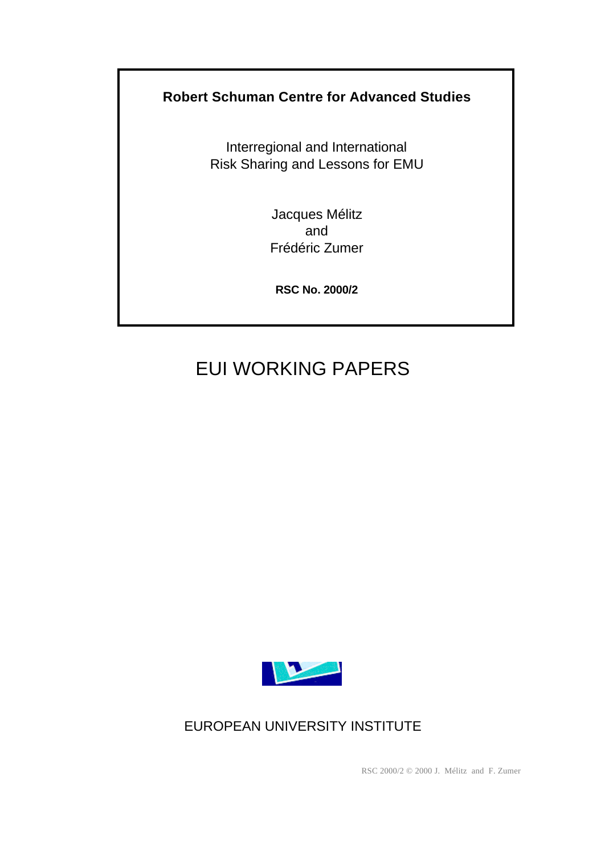# **Robert Schuman Centre for Advanced Studies**

Interregional and International Risk Sharing and Lessons for EMU

> Jacques Mélitz and Frédéric Zumer

**RSC No. 2000/2**

# EUI WORKING PAPERS



EUROPEAN UNIVERSITY INSTITUTE

RSC 2000/2 © 2000 J. Mélitz and F. Zumer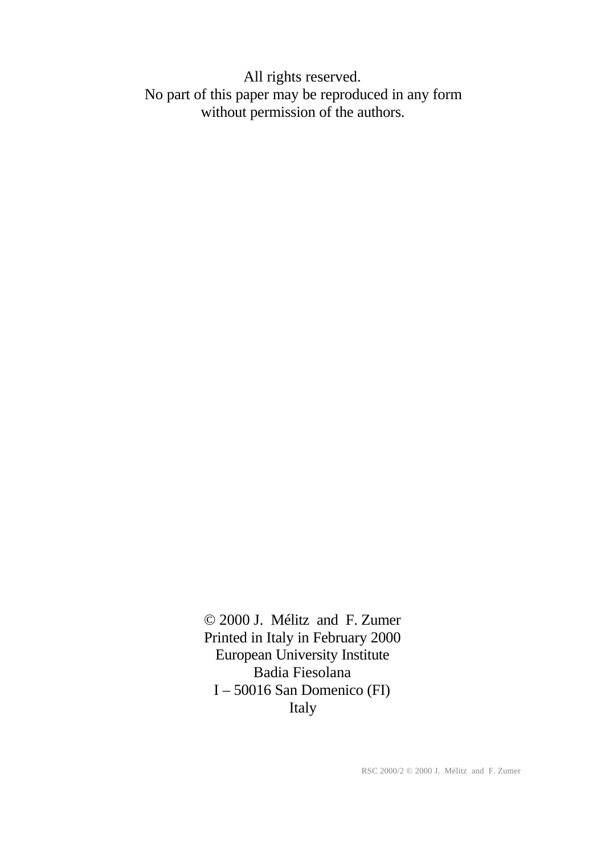All rights reserved. No part of this paper may be reproduced in any form without permission of the authors.

> © 2000 J. Mélitz and F. Zumer Printed in Italy in February 2000 European University Institute Badia Fiesolana I – 50016 San Domenico (FI) Italy

> > RSC 2000/2 © 2000 J. Mélitz and F. Zumer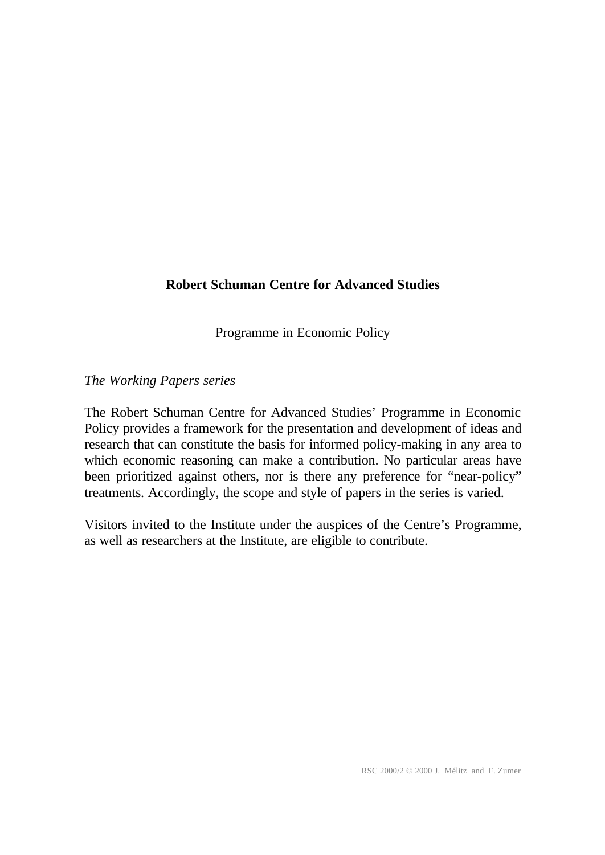# **Robert Schuman Centre for Advanced Studies**

Programme in Economic Policy

## *The Working Papers series*

The Robert Schuman Centre for Advanced Studies' Programme in Economic Policy provides a framework for the presentation and development of ideas and research that can constitute the basis for informed policy-making in any area to which economic reasoning can make a contribution. No particular areas have been prioritized against others, nor is there any preference for "near-policy" treatments. Accordingly, the scope and style of papers in the series is varied.

Visitors invited to the Institute under the auspices of the Centre's Programme, as well as researchers at the Institute, are eligible to contribute.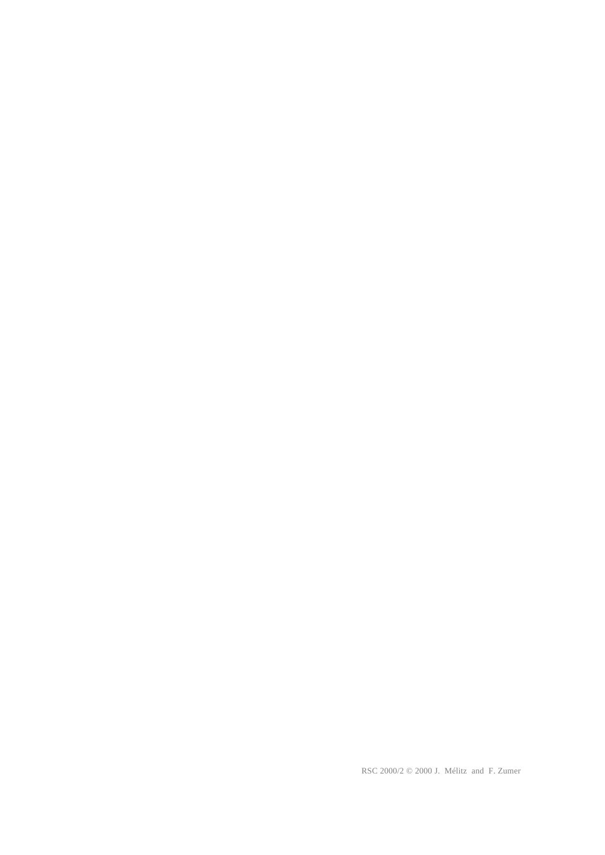RSC 2000/2 © 2000 J. Mélitz and F. Zumer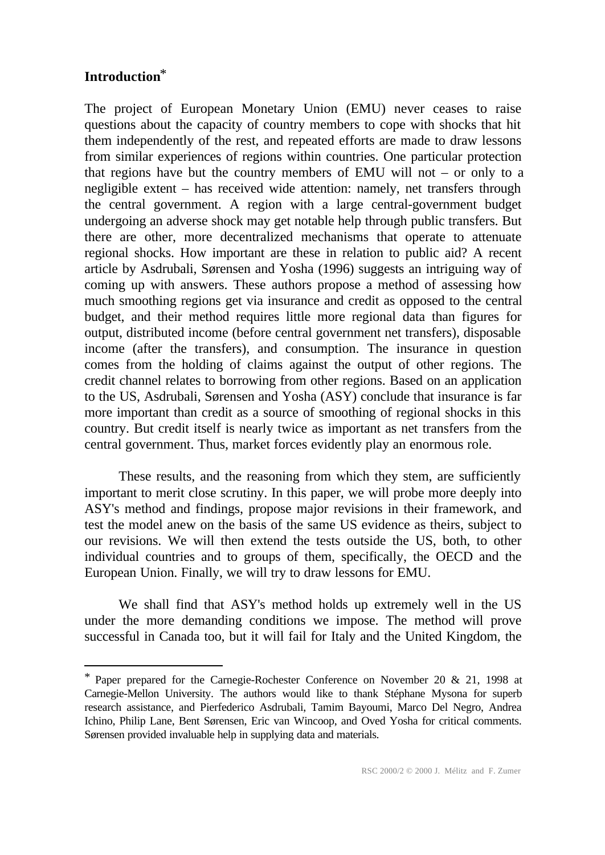# **Introduction**\*

l

The project of European Monetary Union (EMU) never ceases to raise questions about the capacity of country members to cope with shocks that hit them independently of the rest, and repeated efforts are made to draw lessons from similar experiences of regions within countries. One particular protection that regions have but the country members of EMU will not – or only to a negligible extent – has received wide attention: namely, net transfers through the central government. A region with a large central-government budget undergoing an adverse shock may get notable help through public transfers. But there are other, more decentralized mechanisms that operate to attenuate regional shocks. How important are these in relation to public aid? A recent article by Asdrubali, Sørensen and Yosha (1996) suggests an intriguing way of coming up with answers. These authors propose a method of assessing how much smoothing regions get via insurance and credit as opposed to the central budget, and their method requires little more regional data than figures for output, distributed income (before central government net transfers), disposable income (after the transfers), and consumption. The insurance in question comes from the holding of claims against the output of other regions. The credit channel relates to borrowing from other regions. Based on an application to the US, Asdrubali, Sørensen and Yosha (ASY) conclude that insurance is far more important than credit as a source of smoothing of regional shocks in this country. But credit itself is nearly twice as important as net transfers from the central government. Thus, market forces evidently play an enormous role.

These results, and the reasoning from which they stem, are sufficiently important to merit close scrutiny. In this paper, we will probe more deeply into ASY's method and findings, propose major revisions in their framework, and test the model anew on the basis of the same US evidence as theirs, subject to our revisions. We will then extend the tests outside the US, both, to other individual countries and to groups of them, specifically, the OECD and the European Union. Finally, we will try to draw lessons for EMU.

We shall find that ASY's method holds up extremely well in the US under the more demanding conditions we impose. The method will prove successful in Canada too, but it will fail for Italy and the United Kingdom, the

<sup>\*</sup> Paper prepared for the Carnegie-Rochester Conference on November 20 & 21, 1998 at Carnegie-Mellon University. The authors would like to thank Stéphane Mysona for superb research assistance, and Pierfederico Asdrubali, Tamim Bayoumi, Marco Del Negro, Andrea Ichino, Philip Lane, Bent Sørensen, Eric van Wincoop, and Oved Yosha for critical comments. Sørensen provided invaluable help in supplying data and materials.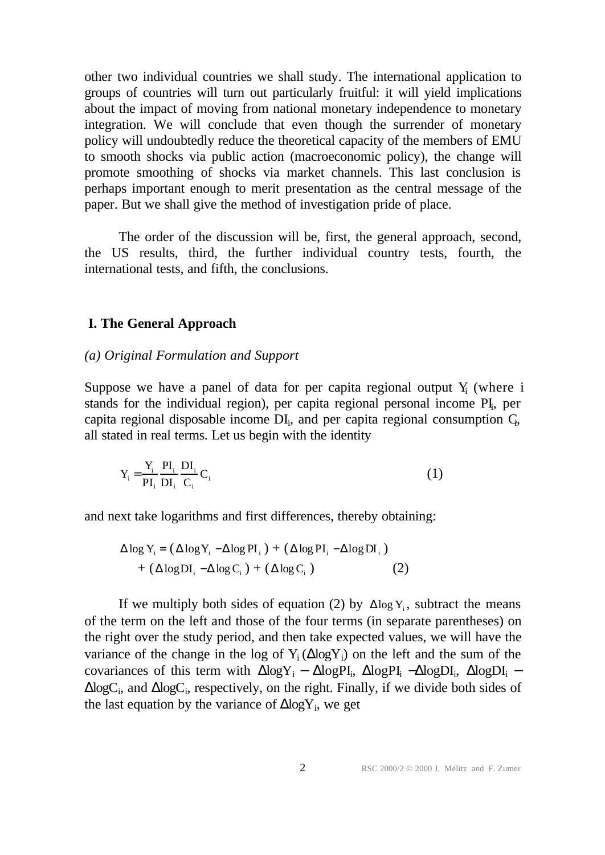other two individual countries we shall study. The international application to groups of countries will turn out particularly fruitful: it will yield implications about the impact of moving from national monetary independence to monetary integration. We will conclude that even though the surrender of monetary policy will undoubtedly reduce the theoretical capacity of the members of EMU to smooth shocks via public action (macroeconomic policy), the change will promote smoothing of shocks via market channels. This last conclusion is perhaps important enough to merit presentation as the central message of the paper. But we shall give the method of investigation pride of place.

The order of the discussion will be, first, the general approach, second, the US results, third, the further individual country tests, fourth, the international tests, and fifth, the conclusions.

#### **I. The General Approach**

#### *(a) Original Formulation and Support*

Suppose we have a panel of data for per capita regional output  $Y_i$  (where i stands for the individual region), per capita regional personal income PI, per capita regional disposable income  $DI_i$ , and per capita regional consumption  $C_i$ , all stated in real terms. Let us begin with the identity

$$
Y_i = \frac{Y_i}{PI_i} \frac{PI_i}{DI_i} \frac{DI_i}{C_i} C_i
$$
 (1)

and next take logarithms and first differences, thereby obtaining:

$$
\Delta \log Y_{i} = (\Delta \log Y_{i} - \Delta \log PI_{i}) + (\Delta \log PI_{i} - \Delta \log DI_{i})
$$
  
+ (\Delta \log DI\_{i} - \Delta \log C\_{i}) + (\Delta \log C\_{i}) \t(2)

If we multiply both sides of equation (2) by  $\Delta \log Y_i$ , subtract the means of the term on the left and those of the four terms (in separate parentheses) on the right over the study period, and then take expected values, we will have the variance of the change in the log of  $Y_i (\Delta \log Y_i)$  on the left and the sum of the covariances of this term with  $\Delta$ logY<sub>i</sub> –  $\Delta$ logPI<sub>i</sub>,  $\Delta$ logPI<sub>i</sub>,  $\Delta$ logDI<sub>i</sub>,  $\Delta$ logDI<sub>i</sub> –  $\Delta$ logC<sub>i</sub>, and  $\Delta$ logC<sub>i</sub>, respectively, on the right. Finally, if we divide both sides of the last equation by the variance of  $\Delta$ log $Y_i$ , we get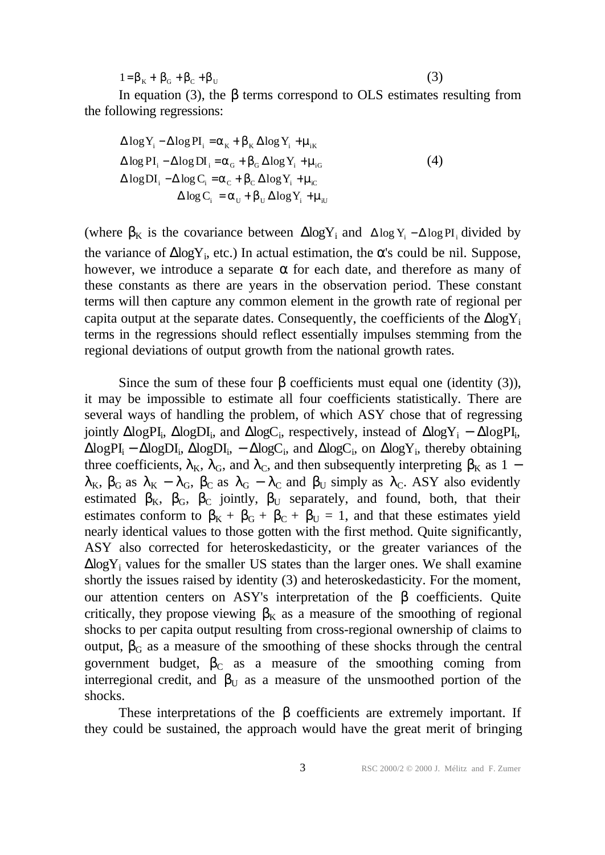$1 = \beta_K + \beta_G + \beta_C + \beta_U$ 

(3)

In equation (3), the β terms correspond to OLS estimates resulting from the following regressions:

$$
\Delta \log Y_{i} - \Delta \log PI_{i} = \alpha_{K} + \beta_{K} \Delta \log Y_{i} + \mu_{iK}
$$
  
\n
$$
\Delta \log PI_{i} - \Delta \log DI_{i} = \alpha_{G} + \beta_{G} \Delta \log Y_{i} + \mu_{iG}
$$
  
\n
$$
\Delta \log DI_{i} - \Delta \log C_{i} = \alpha_{C} + \beta_{C} \Delta \log Y_{i} + \mu_{iC}
$$
  
\n
$$
\Delta \log C_{i} = \alpha_{U} + \beta_{U} \Delta \log Y_{i} + \mu_{iU}
$$
\n(4)

(where  $\beta_K$  is the covariance between  $\Delta \log Y_i$  and  $\Delta \log Y_i - \Delta \log PI_i$  divided by the variance of  $\Delta$ logY<sub>i</sub>, etc.) In actual estimation, the  $\alpha$ 's could be nil. Suppose, however, we introduce a separate  $\alpha$  for each date, and therefore as many of these constants as there are years in the observation period. These constant terms will then capture any common element in the growth rate of regional per capita output at the separate dates. Consequently, the coefficients of the  $\Delta$ log $Y_i$ terms in the regressions should reflect essentially impulses stemming from the regional deviations of output growth from the national growth rates.

Since the sum of these four  $\beta$  coefficients must equal one (identity (3)), it may be impossible to estimate all four coefficients statistically. There are several ways of handling the problem, of which ASY chose that of regressing jointly  $\Delta$ logPI<sub>i</sub>,  $\Delta$ logDI<sub>i</sub>, and  $\Delta$ logC<sub>i</sub>, respectively, instead of  $\Delta$ logY<sub>i</sub> –  $\Delta$ logPI<sub>i</sub>,  $\Delta$ logPI<sub>i</sub> –  $\Delta$ logDI<sub>i</sub>,  $\Delta$ logDI<sub>i</sub>, –  $\Delta$ logC<sub>i</sub>, and  $\Delta$ logC<sub>i</sub>, on  $\Delta$ logY<sub>i</sub>, thereby obtaining three coefficients,  $\lambda_K$ ,  $\lambda_G$ , and  $\lambda_C$ , and then subsequently interpreting  $\beta_K$  as 1 −  $\lambda_K$ ,  $\beta_G$  as  $\lambda_K - \lambda_G$ ,  $\beta_C$  as  $\lambda_G - \lambda_C$  and  $\beta_U$  simply as  $\lambda_C$ . ASY also evidently estimated  $\beta_K$ ,  $\beta_G$ ,  $\beta_C$  jointly,  $\beta_U$  separately, and found, both, that their estimates conform to  $\beta_K + \beta_G + \beta_U = 1$ , and that these estimates yield nearly identical values to those gotten with the first method. Quite significantly, ASY also corrected for heteroskedasticity, or the greater variances of the  $\Delta$ log $Y_i$  values for the smaller US states than the larger ones. We shall examine shortly the issues raised by identity (3) and heteroskedasticity. For the moment, our attention centers on ASY's interpretation of the  $\beta$  coefficients. Quite critically, they propose viewing  $\beta_K$  as a measure of the smoothing of regional shocks to per capita output resulting from cross-regional ownership of claims to output,  $β<sub>G</sub>$  as a measure of the smoothing of these shocks through the central government budget,  $\beta_c$  as a measure of the smoothing coming from interregional credit, and  $\beta_{U}$  as a measure of the unsmoothed portion of the shocks.

These interpretations of the  $\beta$  coefficients are extremely important. If they could be sustained, the approach would have the great merit of bringing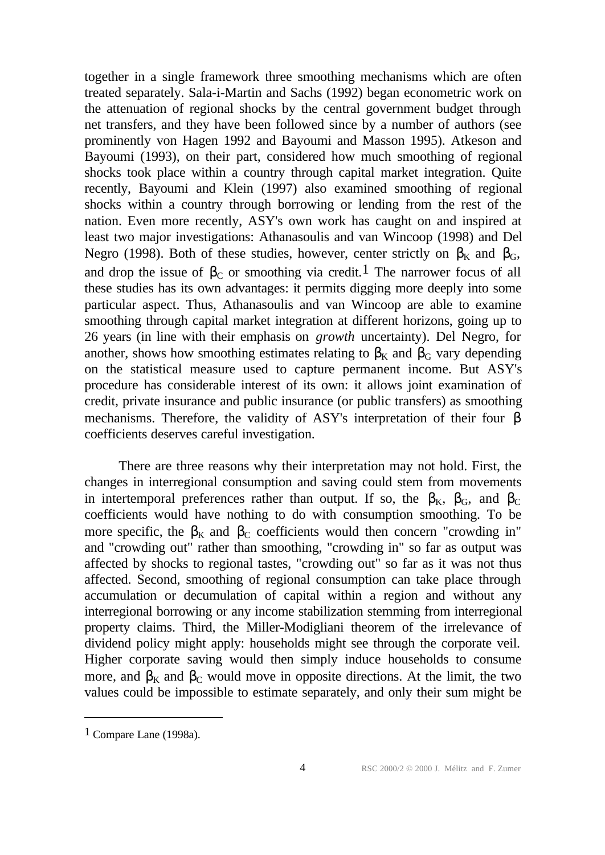together in a single framework three smoothing mechanisms which are often treated separately. Sala-i-Martin and Sachs (1992) began econometric work on the attenuation of regional shocks by the central government budget through net transfers, and they have been followed since by a number of authors (see prominently von Hagen 1992 and Bayoumi and Masson 1995). Atkeson and Bayoumi (1993), on their part, considered how much smoothing of regional shocks took place within a country through capital market integration. Quite recently, Bayoumi and Klein (1997) also examined smoothing of regional shocks within a country through borrowing or lending from the rest of the nation. Even more recently, ASY's own work has caught on and inspired at least two major investigations: Athanasoulis and van Wincoop (1998) and Del Negro (1998). Both of these studies, however, center strictly on  $\beta_K$  and  $\beta_G$ , and drop the issue of  $\beta_c$  or smoothing via credit.<sup>1</sup> The narrower focus of all these studies has its own advantages: it permits digging more deeply into some particular aspect. Thus, Athanasoulis and van Wincoop are able to examine smoothing through capital market integration at different horizons, going up to 26 years (in line with their emphasis on *growth* uncertainty). Del Negro, for another, shows how smoothing estimates relating to  $\beta_K$  and  $\beta_G$  vary depending on the statistical measure used to capture permanent income. But ASY's procedure has considerable interest of its own: it allows joint examination of credit, private insurance and public insurance (or public transfers) as smoothing mechanisms. Therefore, the validity of ASY's interpretation of their four β coefficients deserves careful investigation.

There are three reasons why their interpretation may not hold. First, the changes in interregional consumption and saving could stem from movements in intertemporal preferences rather than output. If so, the  $\beta_K$ ,  $\beta_G$ , and  $\beta_C$ coefficients would have nothing to do with consumption smoothing. To be more specific, the  $\beta_K$  and  $\beta_C$  coefficients would then concern "crowding in" and "crowding out" rather than smoothing, "crowding in" so far as output was affected by shocks to regional tastes, "crowding out" so far as it was not thus affected. Second, smoothing of regional consumption can take place through accumulation or decumulation of capital within a region and without any interregional borrowing or any income stabilization stemming from interregional property claims. Third, the Miller-Modigliani theorem of the irrelevance of dividend policy might apply: households might see through the corporate veil. Higher corporate saving would then simply induce households to consume more, and  $\beta_K$  and  $\beta_C$  would move in opposite directions. At the limit, the two values could be impossible to estimate separately, and only their sum might be

<sup>1</sup> Compare Lane (1998a).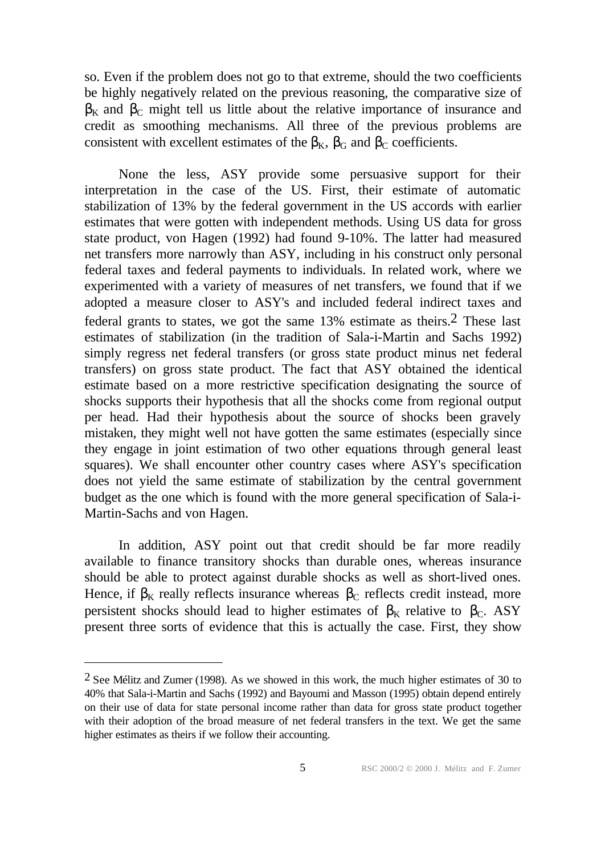so. Even if the problem does not go to that extreme, should the two coefficients be highly negatively related on the previous reasoning, the comparative size of  $\beta_K$  and  $\beta_C$  might tell us little about the relative importance of insurance and credit as smoothing mechanisms. All three of the previous problems are consistent with excellent estimates of the  $\beta_K$ ,  $\beta_G$  and  $\beta_C$  coefficients.

None the less, ASY provide some persuasive support for their interpretation in the case of the US. First, their estimate of automatic stabilization of 13% by the federal government in the US accords with earlier estimates that were gotten with independent methods. Using US data for gross state product, von Hagen (1992) had found 9-10%. The latter had measured net transfers more narrowly than ASY, including in his construct only personal federal taxes and federal payments to individuals. In related work, where we experimented with a variety of measures of net transfers, we found that if we adopted a measure closer to ASY's and included federal indirect taxes and federal grants to states, we got the same 13% estimate as theirs.2 These last estimates of stabilization (in the tradition of Sala-i-Martin and Sachs 1992) simply regress net federal transfers (or gross state product minus net federal transfers) on gross state product. The fact that ASY obtained the identical estimate based on a more restrictive specification designating the source of shocks supports their hypothesis that all the shocks come from regional output per head. Had their hypothesis about the source of shocks been gravely mistaken, they might well not have gotten the same estimates (especially since they engage in joint estimation of two other equations through general least squares). We shall encounter other country cases where ASY's specification does not yield the same estimate of stabilization by the central government budget as the one which is found with the more general specification of Sala-i-Martin-Sachs and von Hagen.

In addition, ASY point out that credit should be far more readily available to finance transitory shocks than durable ones, whereas insurance should be able to protect against durable shocks as well as short-lived ones. Hence, if  $\beta_K$  really reflects insurance whereas  $\beta_C$  reflects credit instead, more persistent shocks should lead to higher estimates of  $\beta_K$  relative to  $\beta_C$ . ASY present three sorts of evidence that this is actually the case. First, they show

<sup>&</sup>lt;sup>2</sup> See Mélitz and Zumer (1998). As we showed in this work, the much higher estimates of 30 to 40% that Sala-i-Martin and Sachs (1992) and Bayoumi and Masson (1995) obtain depend entirely on their use of data for state personal income rather than data for gross state product together with their adoption of the broad measure of net federal transfers in the text. We get the same higher estimates as theirs if we follow their accounting.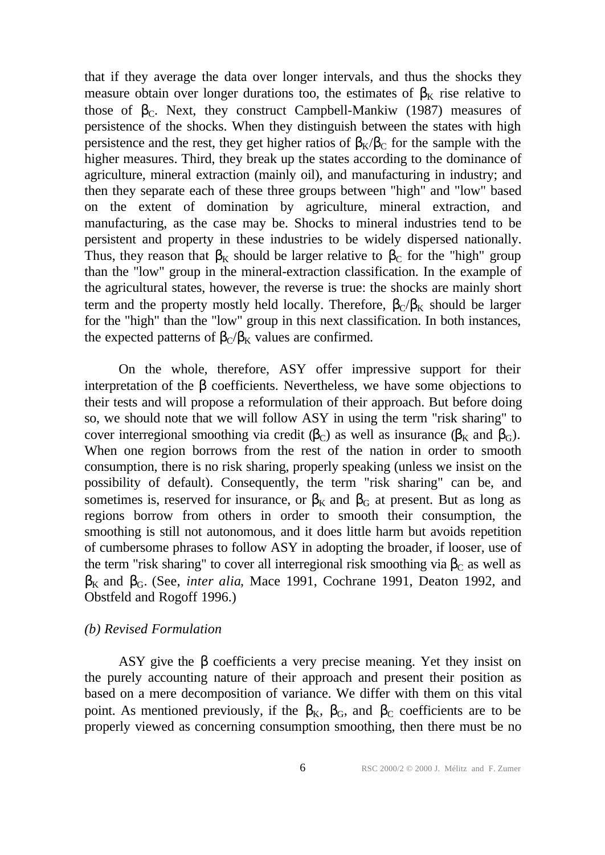that if they average the data over longer intervals, and thus the shocks they measure obtain over longer durations too, the estimates of  $\beta_K$  rise relative to those of  $\beta_{\text{C}}$ . Next, they construct Campbell-Mankiw (1987) measures of persistence of the shocks. When they distinguish between the states with high persistence and the rest, they get higher ratios of  $\beta_K/\beta_C$  for the sample with the higher measures. Third, they break up the states according to the dominance of agriculture, mineral extraction (mainly oil), and manufacturing in industry; and then they separate each of these three groups between "high" and "low" based on the extent of domination by agriculture, mineral extraction, and manufacturing, as the case may be. Shocks to mineral industries tend to be persistent and property in these industries to be widely dispersed nationally. Thus, they reason that  $\beta_K$  should be larger relative to  $\beta_C$  for the "high" group than the "low" group in the mineral-extraction classification. In the example of the agricultural states, however, the reverse is true: the shocks are mainly short term and the property mostly held locally. Therefore,  $\beta_C/\beta_K$  should be larger for the "high" than the "low" group in this next classification. In both instances, the expected patterns of  $\beta_C/\beta_K$  values are confirmed.

On the whole, therefore, ASY offer impressive support for their interpretation of the β coefficients. Nevertheless, we have some objections to their tests and will propose a reformulation of their approach. But before doing so, we should note that we will follow ASY in using the term "risk sharing" to cover interregional smoothing via credit  $(\beta_C)$  as well as insurance  $(\beta_K$  and  $\beta_G)$ . When one region borrows from the rest of the nation in order to smooth consumption, there is no risk sharing, properly speaking (unless we insist on the possibility of default). Consequently, the term "risk sharing" can be, and sometimes is, reserved for insurance, or  $\beta_K$  and  $\beta_G$  at present. But as long as regions borrow from others in order to smooth their consumption, the smoothing is still not autonomous, and it does little harm but avoids repetition of cumbersome phrases to follow ASY in adopting the broader, if looser, use of the term "risk sharing" to cover all interregional risk smoothing via  $\beta_c$  as well as βK and βG. (See, *inter alia*, Mace 1991, Cochrane 1991, Deaton 1992, and Obstfeld and Rogoff 1996.)

#### *(b) Revised Formulation*

ASY give the  $\beta$  coefficients a very precise meaning. Yet they insist on the purely accounting nature of their approach and present their position as based on a mere decomposition of variance. We differ with them on this vital point. As mentioned previously, if the  $\beta_K$ ,  $\beta_G$ , and  $\beta_C$  coefficients are to be properly viewed as concerning consumption smoothing, then there must be no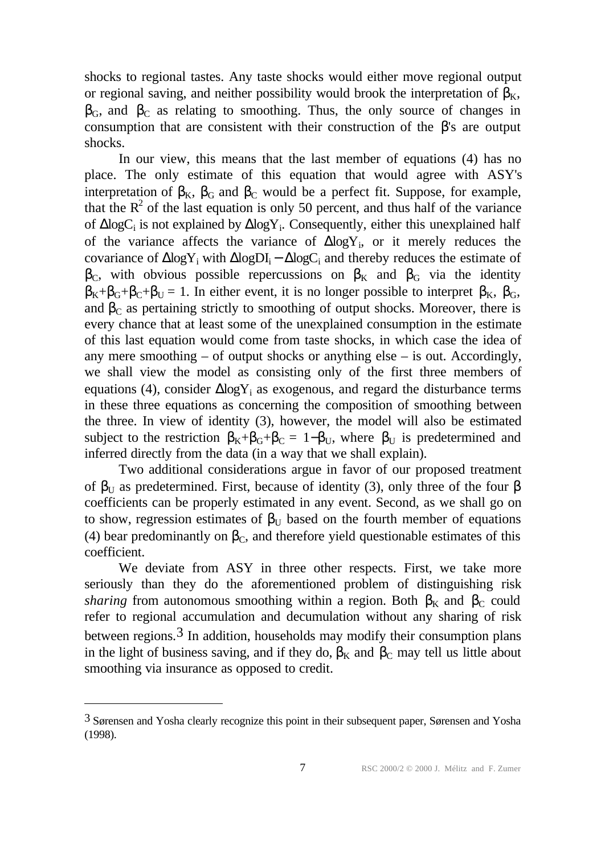shocks to regional tastes. Any taste shocks would either move regional output or regional saving, and neither possibility would brook the interpretation of  $\beta_K$ ,  $\beta_G$ , and  $\beta_C$  as relating to smoothing. Thus, the only source of changes in consumption that are consistent with their construction of the  $\beta$ 's are output shocks.

In our view, this means that the last member of equations (4) has no place. The only estimate of this equation that would agree with ASY's interpretation of  $\beta_K$ ,  $\beta_G$  and  $\beta_C$  would be a perfect fit. Suppose, for example, that the  $R<sup>2</sup>$  of the last equation is only 50 percent, and thus half of the variance of  $\Delta$ logC<sub>i</sub> is not explained by  $\Delta$ logY<sub>i</sub>. Consequently, either this unexplained half of the variance affects the variance of  $\Delta$ logY<sub>i</sub>, or it merely reduces the covariance of  $\Delta$ logY<sub>i</sub> with  $\Delta$ logDI<sub>i</sub> –  $\Delta$ logC<sub>i</sub> and thereby reduces the estimate of  $β<sub>C</sub>$ , with obvious possible repercussions on  $β<sub>K</sub>$  and  $β<sub>G</sub>$  via the identity  $\beta_K + \beta_G + \beta_C + \beta_U = 1$ . In either event, it is no longer possible to interpret  $\beta_K$ ,  $\beta_G$ , and  $\beta_c$  as pertaining strictly to smoothing of output shocks. Moreover, there is every chance that at least some of the unexplained consumption in the estimate of this last equation would come from taste shocks, in which case the idea of any mere smoothing  $-$  of output shocks or anything else  $-$  is out. Accordingly, we shall view the model as consisting only of the first three members of equations (4), consider  $\Delta$ log $Y_i$  as exogenous, and regard the disturbance terms in these three equations as concerning the composition of smoothing between the three. In view of identity (3), however, the model will also be estimated subject to the restriction  $\beta_K + \beta_G + \beta_C = 1 - \beta_U$ , where  $\beta_U$  is predetermined and inferred directly from the data (in a way that we shall explain).

Two additional considerations argue in favor of our proposed treatment of  $\beta_{U}$  as predetermined. First, because of identity (3), only three of the four  $\beta$ coefficients can be properly estimated in any event. Second, as we shall go on to show, regression estimates of  $\beta_{\text{U}}$  based on the fourth member of equations (4) bear predominantly on  $\beta_c$ , and therefore yield questionable estimates of this coefficient.

We deviate from ASY in three other respects. First, we take more seriously than they do the aforementioned problem of distinguishing risk *sharing* from autonomous smoothing within a region. Both  $\beta_K$  and  $\beta_C$  could refer to regional accumulation and decumulation without any sharing of risk between regions.<sup>3</sup> In addition, households may modify their consumption plans in the light of business saving, and if they do,  $\beta_K$  and  $\beta_C$  may tell us little about smoothing via insurance as opposed to credit.

<sup>3</sup> Sørensen and Yosha clearly recognize this point in their subsequent paper, Sørensen and Yosha (1998).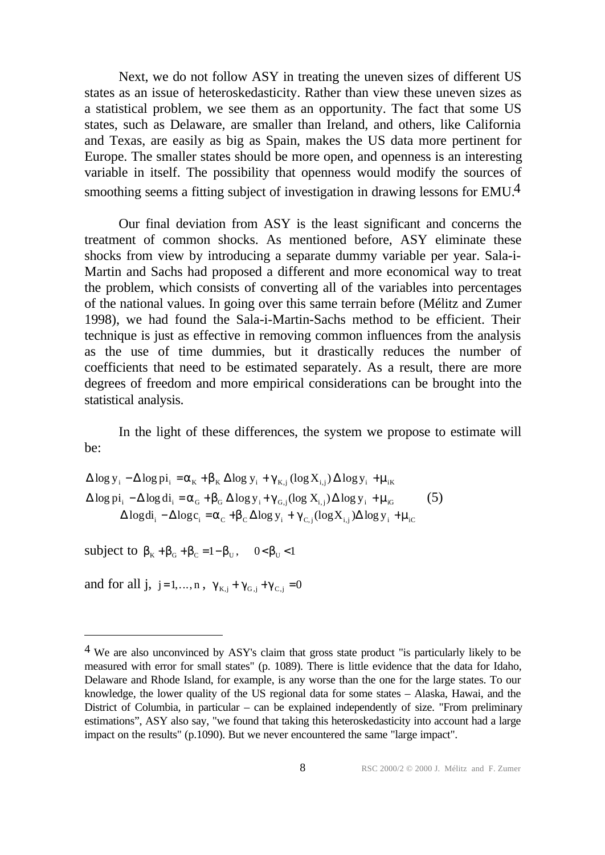Next, we do not follow ASY in treating the uneven sizes of different US states as an issue of heteroskedasticity. Rather than view these uneven sizes as a statistical problem, we see them as an opportunity. The fact that some US states, such as Delaware, are smaller than Ireland, and others, like California and Texas, are easily as big as Spain, makes the US data more pertinent for Europe. The smaller states should be more open, and openness is an interesting variable in itself. The possibility that openness would modify the sources of smoothing seems a fitting subject of investigation in drawing lessons for EMU.4

Our final deviation from ASY is the least significant and concerns the treatment of common shocks. As mentioned before, ASY eliminate these shocks from view by introducing a separate dummy variable per year. Sala-i-Martin and Sachs had proposed a different and more economical way to treat the problem, which consists of converting all of the variables into percentages of the national values. In going over this same terrain before (Mélitz and Zumer 1998), we had found the Sala-i-Martin-Sachs method to be efficient. Their technique is just as effective in removing common influences from the analysis as the use of time dummies, but it drastically reduces the number of coefficients that need to be estimated separately. As a result, there are more degrees of freedom and more empirical considerations can be brought into the statistical analysis.

In the light of these differences, the system we propose to estimate will be:

 $\Delta \log y_i - \Delta \log \pi i_i = \alpha_K + \beta_K \Delta \log y_i + \gamma_{K,i} (\log X_{i,j}) \Delta \log y_i + \mu_{iK}$  $\Delta \log \pi_i - \Delta \log d_i = \alpha_G + \beta_G \Delta \log y_i + \gamma_{G,i} (\log X_{i,j}) \Delta \log y_i + \mu_{iG}$  (5)  $\Delta \log \overline{\mathbf{d}}_i - \Delta \log \mathbf{c}_i = \alpha_C + \beta_C \Delta \log \mathbf{y}_i + \gamma_{C,j} (\log \mathbf{X}_{i,j}) \Delta \log \mathbf{y}_i + \mu_{iC}$ 

subject to  $\beta_K + \beta_G + \beta_C = 1 - \beta_U$ ,  $0 < \beta_U < 1$ 

and for all j, j=1,..., n,  $\gamma_{\text{K,i}} + \gamma_{\text{G,i}} + \gamma_{\text{C,i}} = 0$ 

<sup>4</sup> We are also unconvinced by ASY's claim that gross state product "is particularly likely to be measured with error for small states" (p. 1089). There is little evidence that the data for Idaho, Delaware and Rhode Island, for example, is any worse than the one for the large states. To our knowledge, the lower quality of the US regional data for some states – Alaska, Hawai, and the District of Columbia, in particular – can be explained independently of size. "From preliminary estimations", ASY also say, "we found that taking this heteroskedasticity into account had a large impact on the results" (p.1090). But we never encountered the same "large impact".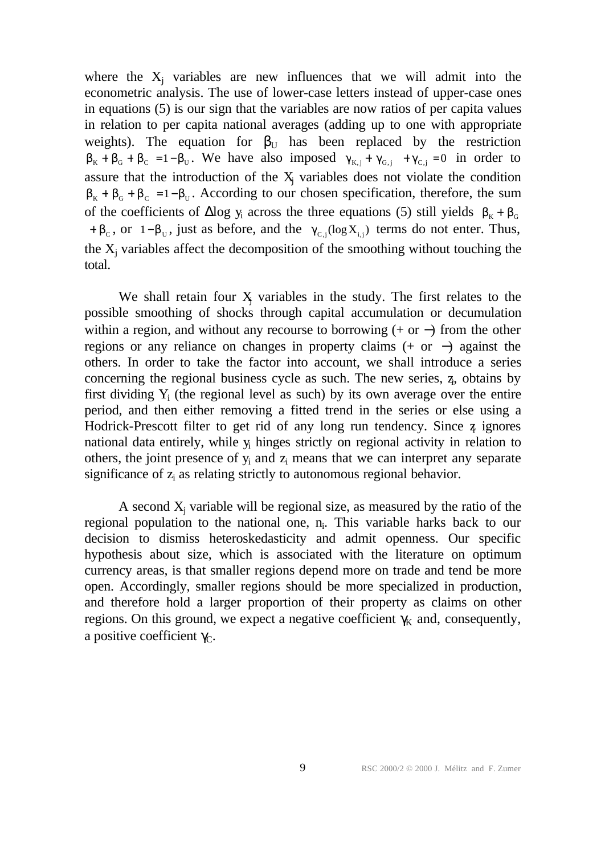where the  $X_j$  variables are new influences that we will admit into the econometric analysis. The use of lower-case letters instead of upper-case ones in equations (5) is our sign that the variables are now ratios of per capita values in relation to per capita national averages (adding up to one with appropriate weights). The equation for  $\beta_U$  has been replaced by the restriction  $\beta_K + \beta_G + \beta_C = 1 - \beta_U$ . We have also imposed  $\gamma_{K,j} + \gamma_{G,j} + \gamma_{C,j} = 0$  in order to assure that the introduction of the  $X_j$  variables does not violate the condition  $\beta_{K} + \beta_{G} + \beta_{C} = 1 - \beta_{U}$ . According to our chosen specification, therefore, the sum of the coefficients of  $\Delta$ log y<sub>i</sub> across the three equations (5) still yields  $\beta_{K} + \beta_{G}$ +  $\beta_c$ , or 1– $\beta_u$ , just as before, and the  $\gamma_{c,j}(\log X_{i,j})$  terms do not enter. Thus, the  $X_j$  variables affect the decomposition of the smoothing without touching the total.

We shall retain four  $X_j$  variables in the study. The first relates to the possible smoothing of shocks through capital accumulation or decumulation within a region, and without any recourse to borrowing  $(+ or -)$  from the other regions or any reliance on changes in property claims (+ or −) against the others. In order to take the factor into account, we shall introduce a series concerning the regional business cycle as such. The new series, z, obtains by first dividing  $Y_i$  (the regional level as such) by its own average over the entire period, and then either removing a fitted trend in the series or else using a Hodrick-Prescott filter to get rid of any long run tendency. Since z ignores national data entirely, while y<sub>i</sub> hinges strictly on regional activity in relation to others, the joint presence of  $y_i$  and  $z_i$  means that we can interpret any separate significance of  $z_i$  as relating strictly to autonomous regional behavior.

A second  $X_j$  variable will be regional size, as measured by the ratio of the regional population to the national one, n<sub>i</sub>. This variable harks back to our decision to dismiss heteroskedasticity and admit openness. Our specific hypothesis about size, which is associated with the literature on optimum currency areas, is that smaller regions depend more on trade and tend be more open. Accordingly, smaller regions should be more specialized in production, and therefore hold a larger proportion of their property as claims on other regions. On this ground, we expect a negative coefficient  $\gamma_K$  and, consequently, a positive coefficient  $\gamma_C$ .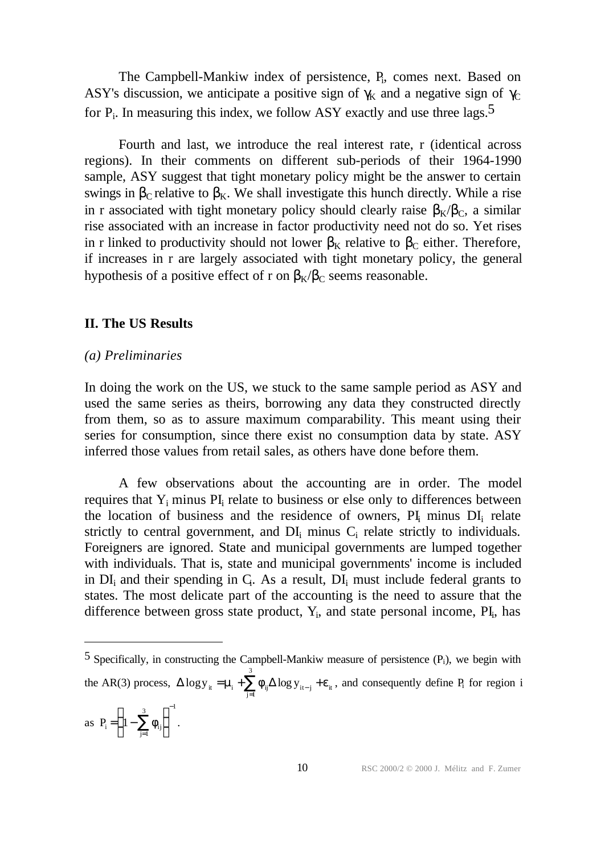The Campbell-Mankiw index of persistence, P<sub>i</sub>, comes next. Based on ASY's discussion, we anticipate a positive sign of  $\gamma_K$  and a negative sign of  $\gamma_C$ for  $P_i$ . In measuring this index, we follow ASY exactly and use three lags.<sup>5</sup>

Fourth and last, we introduce the real interest rate, r (identical across regions). In their comments on different sub-periods of their 1964-1990 sample, ASY suggest that tight monetary policy might be the answer to certain swings in  $β<sub>C</sub>$  relative to  $β<sub>K</sub>$ . We shall investigate this hunch directly. While a rise in r associated with tight monetary policy should clearly raise  $\beta_K/\beta_C$ , a similar rise associated with an increase in factor productivity need not do so. Yet rises in r linked to productivity should not lower  $\beta_K$  relative to  $\beta_C$  either. Therefore, if increases in r are largely associated with tight monetary policy, the general hypothesis of a positive effect of r on  $\beta_K/\beta_C$  seems reasonable.

## **II. The US Results**

#### *(a) Preliminaries*

In doing the work on the US, we stuck to the same sample period as ASY and used the same series as theirs, borrowing any data they constructed directly from them, so as to assure maximum comparability. This meant using their series for consumption, since there exist no consumption data by state. ASY inferred those values from retail sales, as others have done before them.

A few observations about the accounting are in order. The model requires that  $Y_i$  minus  $PI_i$  relate to business or else only to differences between the location of business and the residence of owners,  $PI_i$  minus  $DI_i$  relate strictly to central government, and  $DI_i$  minus  $C_i$  relate strictly to individuals. Foreigners are ignored. State and municipal governments are lumped together with individuals. That is, state and municipal governments' income is included in  $DI_i$  and their spending in  $C_i$ . As a result,  $DI_i$  must include federal grants to states. The most delicate part of the accounting is the need to assure that the difference between gross state product,  $Y_i$ , and state personal income,  $PI_i$ , has

 $5$  Specifically, in constructing the Campbell-Mankiw measure of persistence  $(P_i)$ , we begin with the AR(3) process,  $\Delta \log y_{it} = \mu_i + \sum_{j=1}^{\infty} \phi_{ij} \Delta \log y_{it-j} + \varepsilon_{it}$ 1 3 , and consequently define P<sub>i</sub> for region i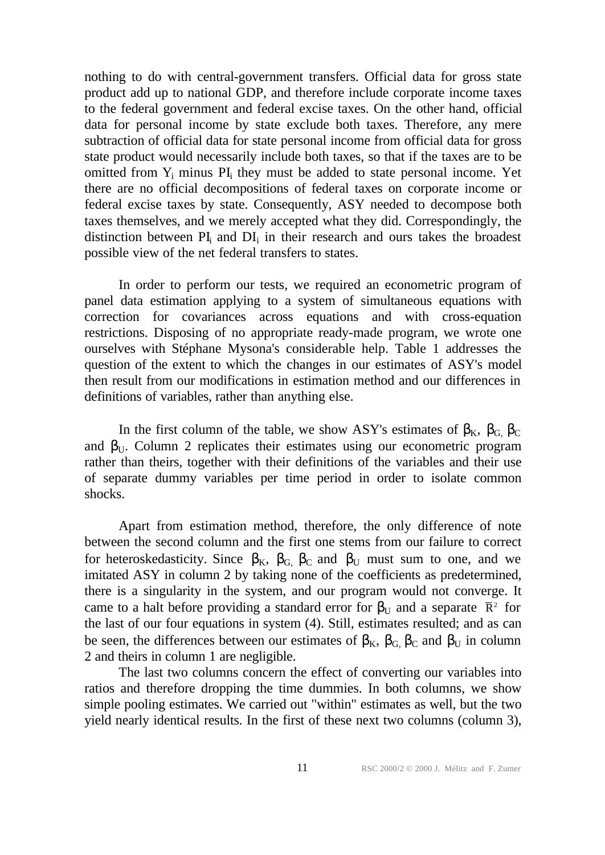nothing to do with central-government transfers. Official data for gross state product add up to national GDP, and therefore include corporate income taxes to the federal government and federal excise taxes. On the other hand, official data for personal income by state exclude both taxes. Therefore, any mere subtraction of official data for state personal income from official data for gross state product would necessarily include both taxes, so that if the taxes are to be omitted from Y<sub>i</sub> minus PI<sub>i</sub> they must be added to state personal income. Yet there are no official decompositions of federal taxes on corporate income or federal excise taxes by state. Consequently, ASY needed to decompose both taxes themselves, and we merely accepted what they did. Correspondingly, the distinction between  $PI_i$  and  $DI_i$  in their research and ours takes the broadest possible view of the net federal transfers to states.

In order to perform our tests, we required an econometric program of panel data estimation applying to a system of simultaneous equations with correction for covariances across equations and with cross-equation restrictions. Disposing of no appropriate ready-made program, we wrote one ourselves with Stéphane Mysona's considerable help. Table 1 addresses the question of the extent to which the changes in our estimates of ASY's model then result from our modifications in estimation method and our differences in definitions of variables, rather than anything else.

In the first column of the table, we show ASY's estimates of  $\beta_K$ ,  $\beta_G$ ,  $\beta_C$ and  $\beta_{\text{U}}$ . Column 2 replicates their estimates using our econometric program rather than theirs, together with their definitions of the variables and their use of separate dummy variables per time period in order to isolate common shocks.

Apart from estimation method, therefore, the only difference of note between the second column and the first one stems from our failure to correct for heteroskedasticity. Since  $\beta_K$ ,  $\beta_G$ ,  $\beta_G$  and  $\beta_U$  must sum to one, and we imitated ASY in column 2 by taking none of the coefficients as predetermined, there is a singularity in the system, and our program would not converge. It came to a halt before providing a standard error for  $\beta_{\text{U}}$  and a separate  $\bar{R}^2$  for the last of our four equations in system (4). Still, estimates resulted; and as can be seen, the differences between our estimates of  $\beta_K$ ,  $\beta_G$   $\beta_C$  and  $\beta_U$  in column 2 and theirs in column 1 are negligible.

The last two columns concern the effect of converting our variables into ratios and therefore dropping the time dummies. In both columns, we show simple pooling estimates. We carried out "within" estimates as well, but the two yield nearly identical results. In the first of these next two columns (column 3),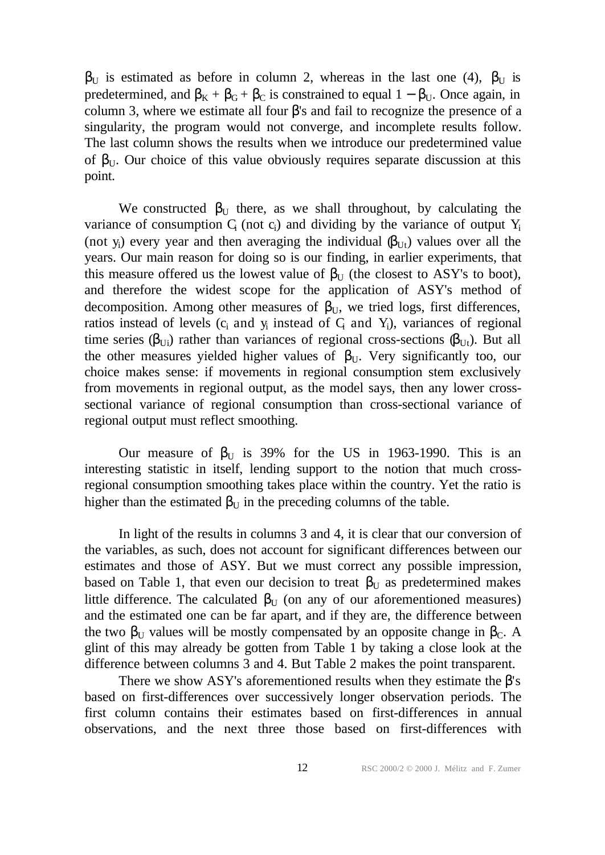$β$ <sup>U</sup> is estimated as before in column 2, whereas in the last one (4),  $β$ <sup>U</sup> is predetermined, and  $\beta_K + \beta_G + \beta_C$  is constrained to equal  $1 - \beta_U$ . Once again, in column 3, where we estimate all four  $β$ 's and fail to recognize the presence of a singularity, the program would not converge, and incomplete results follow. The last column shows the results when we introduce our predetermined value of  $\beta_{U}$ . Our choice of this value obviously requires separate discussion at this point.

We constructed  $\beta_{\text{U}}$  there, as we shall throughout, by calculating the variance of consumption  $C_i$  (not  $c_i$ ) and dividing by the variance of output  $Y_i$ (not y<sub>i</sub>) every year and then averaging the individual  $(\beta_{Ut})$  values over all the years. Our main reason for doing so is our finding, in earlier experiments, that this measure offered us the lowest value of  $\beta_{\text{U}}$  (the closest to ASY's to boot), and therefore the widest scope for the application of ASY's method of decomposition. Among other measures of  $\beta_{U}$ , we tried logs, first differences, ratios instead of levels  $(c_i$  and  $y_i$  instead of  $C_i$  and  $Y_i$ ), variances of regional time series ( $\beta_{U_i}$ ) rather than variances of regional cross-sections  $(\beta_{U_i})$ . But all the other measures yielded higher values of  $\beta_{U}$ . Very significantly too, our choice makes sense: if movements in regional consumption stem exclusively from movements in regional output, as the model says, then any lower crosssectional variance of regional consumption than cross-sectional variance of regional output must reflect smoothing.

Our measure of  $β$ <sub>U</sub> is 39% for the US in 1963-1990. This is an interesting statistic in itself, lending support to the notion that much crossregional consumption smoothing takes place within the country. Yet the ratio is higher than the estimated  $\beta_U$  in the preceding columns of the table.

In light of the results in columns 3 and 4, it is clear that our conversion of the variables, as such, does not account for significant differences between our estimates and those of ASY. But we must correct any possible impression, based on Table 1, that even our decision to treat  $\beta_{U}$  as predetermined makes little difference. The calculated  $\beta_{\text{U}}$  (on any of our aforementioned measures) and the estimated one can be far apart, and if they are, the difference between the two  $\beta_{\text{U}}$  values will be mostly compensated by an opposite change in  $\beta_{\text{C}}$ . A glint of this may already be gotten from Table 1 by taking a close look at the difference between columns 3 and 4. But Table 2 makes the point transparent.

There we show ASY's aforementioned results when they estimate the  $\beta$ 's based on first-differences over successively longer observation periods. The first column contains their estimates based on first-differences in annual observations, and the next three those based on first-differences with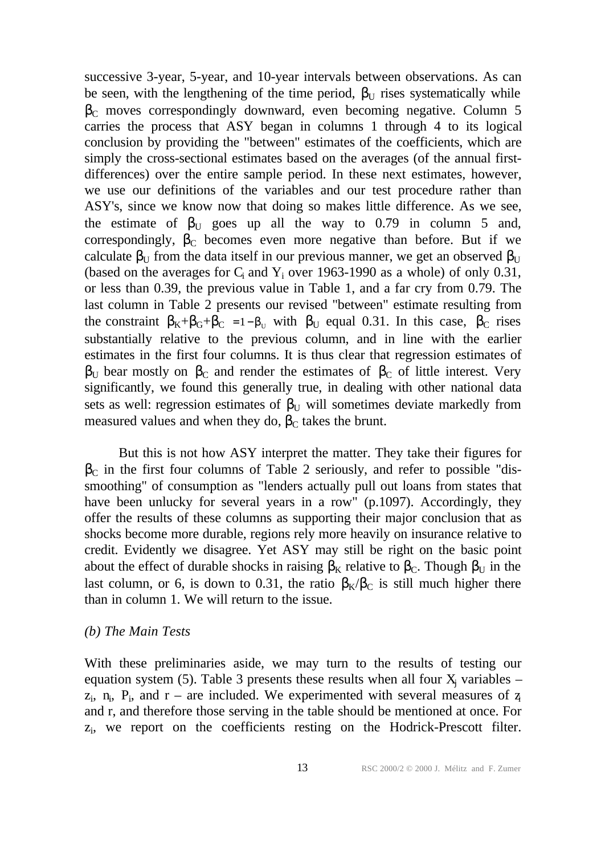successive 3-year, 5-year, and 10-year intervals between observations. As can be seen, with the lengthening of the time period,  $\beta_U$  rises systematically while  $\beta_c$  moves correspondingly downward, even becoming negative. Column 5 carries the process that ASY began in columns 1 through 4 to its logical conclusion by providing the "between" estimates of the coefficients, which are simply the cross-sectional estimates based on the averages (of the annual firstdifferences) over the entire sample period. In these next estimates, however, we use our definitions of the variables and our test procedure rather than ASY's, since we know now that doing so makes little difference. As we see, the estimate of  $\beta_U$  goes up all the way to 0.79 in column 5 and, correspondingly,  $\beta_c$  becomes even more negative than before. But if we calculate  $\beta_U$  from the data itself in our previous manner, we get an observed  $\beta_U$ (based on the averages for  $C_i$  and  $Y_i$  over 1963-1990 as a whole) of only 0.31, or less than 0.39, the previous value in Table 1, and a far cry from 0.79. The last column in Table 2 presents our revised "between" estimate resulting from the constraint  $\beta_K + \beta_G + \beta_C = 1 - \beta_U$  with  $\beta_U$  equal 0.31. In this case,  $\beta_C$  rises substantially relative to the previous column, and in line with the earlier estimates in the first four columns. It is thus clear that regression estimates of  $β$ <sub>U</sub> bear mostly on  $β$ <sub>C</sub> and render the estimates of  $β$ <sub>C</sub> of little interest. Very significantly, we found this generally true, in dealing with other national data sets as well: regression estimates of  $\beta_{\text{U}}$  will sometimes deviate markedly from measured values and when they do,  $β<sub>C</sub>$  takes the brunt.

But this is not how ASY interpret the matter. They take their figures for  $\beta_c$  in the first four columns of Table 2 seriously, and refer to possible "dissmoothing" of consumption as "lenders actually pull out loans from states that have been unlucky for several years in a row" (p.1097). Accordingly, they offer the results of these columns as supporting their major conclusion that as shocks become more durable, regions rely more heavily on insurance relative to credit. Evidently we disagree. Yet ASY may still be right on the basic point about the effect of durable shocks in raising  $\beta_K$  relative to  $\beta_C$ . Though  $\beta_U$  in the last column, or 6, is down to 0.31, the ratio  $\beta_{K}/\beta_{C}$  is still much higher there than in column 1. We will return to the issue.

#### *(b) The Main Tests*

With these preliminaries aside, we may turn to the results of testing our equation system (5). Table 3 presents these results when all four  $X_j$  variables –  $z_i$ ,  $n_i$ ,  $P_i$ , and  $r$  – are included. We experimented with several measures of  $z_i$ and r, and therefore those serving in the table should be mentioned at once. For zi , we report on the coefficients resting on the Hodrick-Prescott filter.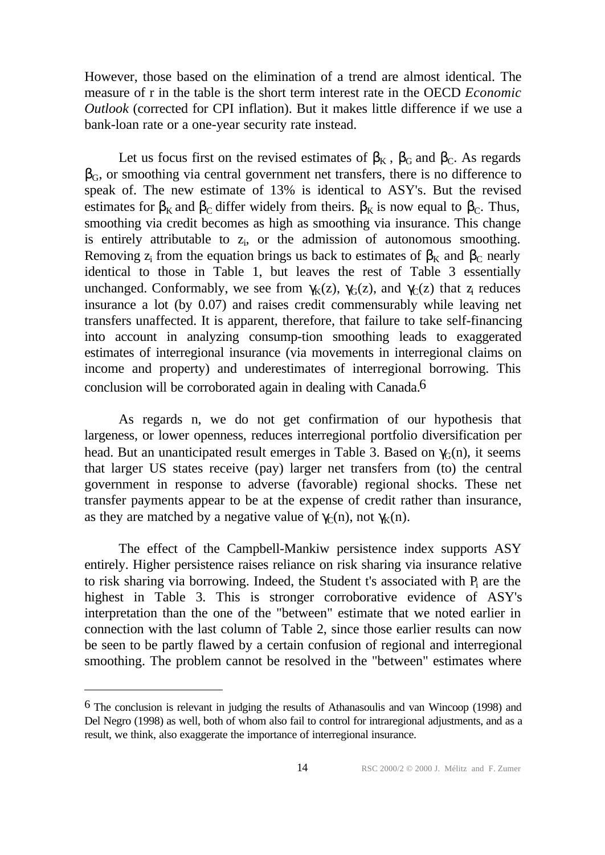However, those based on the elimination of a trend are almost identical. The measure of r in the table is the short term interest rate in the OECD *Economic Outlook* (corrected for CPI inflation). But it makes little difference if we use a bank-loan rate or a one-year security rate instead.

Let us focus first on the revised estimates of  $\beta_K$ ,  $\beta_G$  and  $\beta_C$ . As regards  $\beta_{\rm G}$ , or smoothing via central government net transfers, there is no difference to speak of. The new estimate of 13% is identical to ASY's. But the revised estimates for  $\beta_K$  and  $\beta_C$  differ widely from theirs.  $\beta_K$  is now equal to  $\beta_C$ . Thus, smoothing via credit becomes as high as smoothing via insurance. This change is entirely attributable to  $z_i$ , or the admission of autonomous smoothing. Removing  $z_i$  from the equation brings us back to estimates of  $\beta_K$  and  $\beta_C$  nearly identical to those in Table 1, but leaves the rest of Table 3 essentially unchanged. Conformably, we see from  $\gamma_K(z)$ ,  $\gamma_G(z)$ , and  $\gamma_C(z)$  that z<sub>i</sub> reduces insurance a lot (by 0.07) and raises credit commensurably while leaving net transfers unaffected. It is apparent, therefore, that failure to take self-financing into account in analyzing consump-tion smoothing leads to exaggerated estimates of interregional insurance (via movements in interregional claims on income and property) and underestimates of interregional borrowing. This conclusion will be corroborated again in dealing with Canada.6

As regards n, we do not get confirmation of our hypothesis that largeness, or lower openness, reduces interregional portfolio diversification per head. But an unanticipated result emerges in Table 3. Based on  $\gamma_G(n)$ , it seems that larger US states receive (pay) larger net transfers from (to) the central government in response to adverse (favorable) regional shocks. These net transfer payments appear to be at the expense of credit rather than insurance, as they are matched by a negative value of  $\gamma_c(n)$ , not  $\gamma_k(n)$ .

The effect of the Campbell-Mankiw persistence index supports ASY entirely. Higher persistence raises reliance on risk sharing via insurance relative to risk sharing via borrowing. Indeed, the Student t's associated with  $P_i$  are the highest in Table 3. This is stronger corroborative evidence of ASY's interpretation than the one of the "between" estimate that we noted earlier in connection with the last column of Table 2, since those earlier results can now be seen to be partly flawed by a certain confusion of regional and interregional smoothing. The problem cannot be resolved in the "between" estimates where

<sup>6</sup> The conclusion is relevant in judging the results of Athanasoulis and van Wincoop (1998) and Del Negro (1998) as well, both of whom also fail to control for intraregional adjustments, and as a result, we think, also exaggerate the importance of interregional insurance.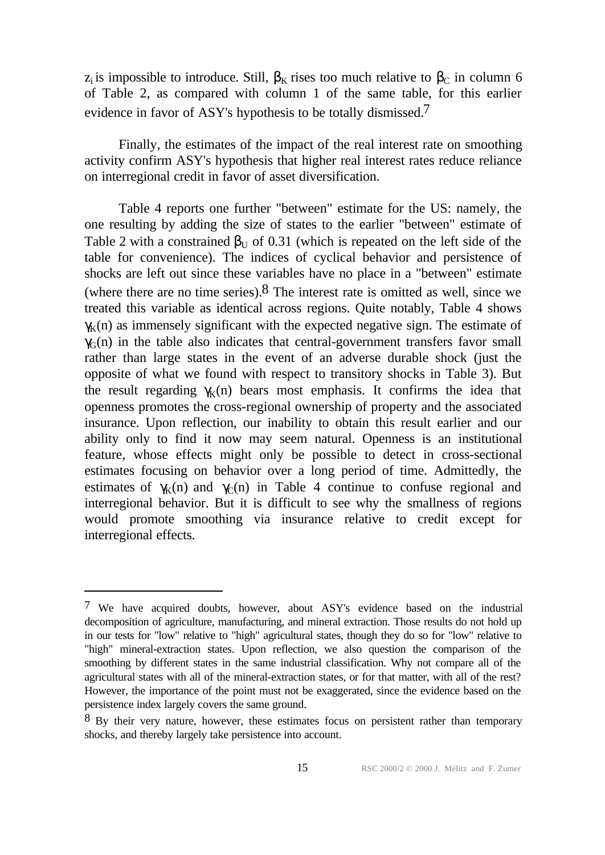z<sub>i</sub> is impossible to introduce. Still,  $\beta_K$  rises too much relative to  $\beta_C$  in column 6 of Table 2, as compared with column 1 of the same table, for this earlier evidence in favor of ASY's hypothesis to be totally dismissed.<sup>7</sup>

Finally, the estimates of the impact of the real interest rate on smoothing activity confirm ASY's hypothesis that higher real interest rates reduce reliance on interregional credit in favor of asset diversification.

Table 4 reports one further "between" estimate for the US: namely, the one resulting by adding the size of states to the earlier "between" estimate of Table 2 with a constrained  $\beta_{\text{U}}$  of 0.31 (which is repeated on the left side of the table for convenience). The indices of cyclical behavior and persistence of shocks are left out since these variables have no place in a "between" estimate (where there are no time series).  $8$  The interest rate is omitted as well, since we treated this variable as identical across regions. Quite notably, Table 4 shows  $\gamma_K(n)$  as immensely significant with the expected negative sign. The estimate of  $\gamma<sub>G</sub>(n)$  in the table also indicates that central-government transfers favor small rather than large states in the event of an adverse durable shock (just the opposite of what we found with respect to transitory shocks in Table 3). But the result regarding  $\gamma_K(n)$  bears most emphasis. It confirms the idea that openness promotes the cross-regional ownership of property and the associated insurance. Upon reflection, our inability to obtain this result earlier and our ability only to find it now may seem natural. Openness is an institutional feature, whose effects might only be possible to detect in cross-sectional estimates focusing on behavior over a long period of time. Admittedly, the estimates of  $\gamma_K(n)$  and  $\gamma_C(n)$  in Table 4 continue to confuse regional and interregional behavior. But it is difficult to see why the smallness of regions would promote smoothing via insurance relative to credit except for interregional effects.

<sup>7</sup> We have acquired doubts, however, about ASY's evidence based on the industrial decomposition of agriculture, manufacturing, and mineral extraction. Those results do not hold up in our tests for "low" relative to "high" agricultural states, though they do so for "low" relative to "high" mineral-extraction states. Upon reflection, we also question the comparison of the smoothing by different states in the same industrial classification. Why not compare all of the agricultural states with all of the mineral-extraction states, or for that matter, with all of the rest? However, the importance of the point must not be exaggerated, since the evidence based on the persistence index largely covers the same ground.

<sup>&</sup>lt;sup>8</sup> By their very nature, however, these estimates focus on persistent rather than temporary shocks, and thereby largely take persistence into account.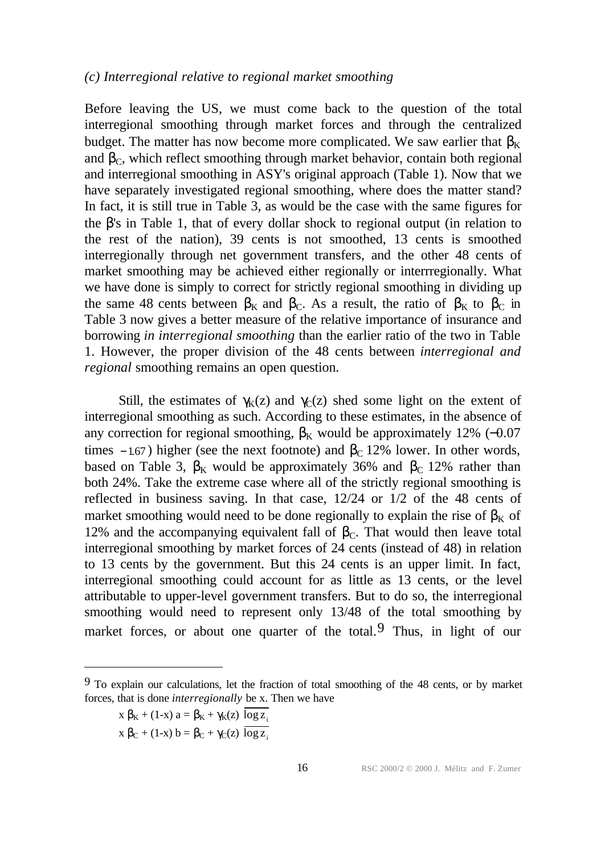#### *(c) Interregional relative to regional market smoothing*

Before leaving the US, we must come back to the question of the total interregional smoothing through market forces and through the centralized budget. The matter has now become more complicated. We saw earlier that  $\beta_K$ and  $\beta_c$ , which reflect smoothing through market behavior, contain both regional and interregional smoothing in ASY's original approach (Table 1). Now that we have separately investigated regional smoothing, where does the matter stand? In fact, it is still true in Table 3, as would be the case with the same figures for the β's in Table 1, that of every dollar shock to regional output (in relation to the rest of the nation), 39 cents is not smoothed, 13 cents is smoothed interregionally through net government transfers, and the other 48 cents of market smoothing may be achieved either regionally or interrregionally. What we have done is simply to correct for strictly regional smoothing in dividing up the same 48 cents between  $\beta_K$  and  $\beta_C$ . As a result, the ratio of  $\beta_K$  to  $\beta_C$  in Table 3 now gives a better measure of the relative importance of insurance and borrowing *in interregional smoothing* than the earlier ratio of the two in Table 1. However, the proper division of the 48 cents between *interregional and regional* smoothing remains an open question.

Still, the estimates of  $\gamma_K(z)$  and  $\gamma_C(z)$  shed some light on the extent of interregional smoothing as such. According to these estimates, in the absence of any correction for regional smoothing,  $β_K$  would be approximately 12% (-0.07 times – 1.67) higher (see the next footnote) and  $\beta_c$  12% lower. In other words, based on Table 3,  $\beta_K$  would be approximately 36% and  $\beta_C$  12% rather than both 24%. Take the extreme case where all of the strictly regional smoothing is reflected in business saving. In that case, 12/24 or 1/2 of the 48 cents of market smoothing would need to be done regionally to explain the rise of  $\beta_{K}$  of 12% and the accompanying equivalent fall of  $\beta_c$ . That would then leave total interregional smoothing by market forces of 24 cents (instead of 48) in relation to 13 cents by the government. But this 24 cents is an upper limit. In fact, interregional smoothing could account for as little as 13 cents, or the level attributable to upper-level government transfers. But to do so, the interregional smoothing would need to represent only 13/48 of the total smoothing by market forces, or about one quarter of the total. Thus, in light of our

<sup>9</sup> To explain our calculations, let the fraction of total smoothing of the 48 cents, or by market forces, that is done *interregionally* be x. Then we have

 $x \beta_K + (1-x) a = \beta_K + \gamma_K(z) \log z_i$ 

 $x \beta_C + (1-x) b = \beta_C + \gamma_C(z) \overline{\log z_i}$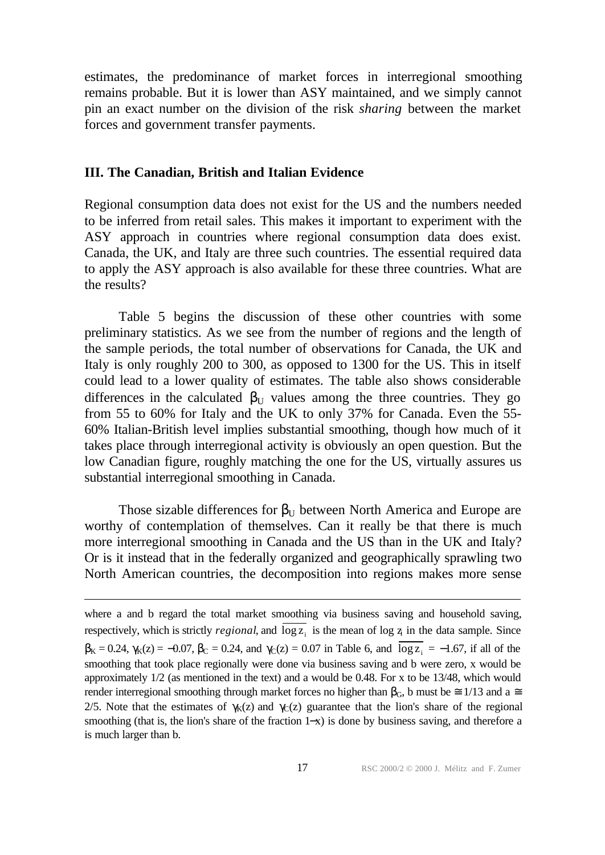estimates, the predominance of market forces in interregional smoothing remains probable. But it is lower than ASY maintained, and we simply cannot pin an exact number on the division of the risk *sharing* between the market forces and government transfer payments.

## **III. The Canadian, British and Italian Evidence**

l

Regional consumption data does not exist for the US and the numbers needed to be inferred from retail sales. This makes it important to experiment with the ASY approach in countries where regional consumption data does exist. Canada, the UK, and Italy are three such countries. The essential required data to apply the ASY approach is also available for these three countries. What are the results?

Table 5 begins the discussion of these other countries with some preliminary statistics. As we see from the number of regions and the length of the sample periods, the total number of observations for Canada, the UK and Italy is only roughly 200 to 300, as opposed to 1300 for the US. This in itself could lead to a lower quality of estimates. The table also shows considerable differences in the calculated  $\beta_{\text{U}}$  values among the three countries. They go from 55 to 60% for Italy and the UK to only 37% for Canada. Even the 55- 60% Italian-British level implies substantial smoothing, though how much of it takes place through interregional activity is obviously an open question. But the low Canadian figure, roughly matching the one for the US, virtually assures us substantial interregional smoothing in Canada.

Those sizable differences for  $\beta_{U}$  between North America and Europe are worthy of contemplation of themselves. Can it really be that there is much more interregional smoothing in Canada and the US than in the UK and Italy? Or is it instead that in the federally organized and geographically sprawling two North American countries, the decomposition into regions makes more sense

where a and b regard the total market smoothing via business saving and household saving, respectively, which is strictly *regional*, and  $\log z_i$  is the mean of  $\log z_i$  in the data sample. Since  $\beta_{K} = 0.24$ ,  $\gamma_{K}(z) = -0.07$ ,  $\beta_{C} = 0.24$ , and  $\gamma_{C}(z) = 0.07$  in Table 6, and  $\log z_{i} = -1.67$ , if all of the smoothing that took place regionally were done via business saving and b were zero, x would be approximately 1/2 (as mentioned in the text) and a would be 0.48. For x to be 13/48, which would render interregional smoothing through market forces no higher than  $β<sub>G</sub>$ , b must be  $\cong$  1/13 and a  $\cong$ 2/5. Note that the estimates of  $\gamma_K(z)$  and  $\gamma_C(z)$  guarantee that the lion's share of the regional smoothing (that is, the lion's share of the fraction 1–x) is done by business saving, and therefore a is much larger than b.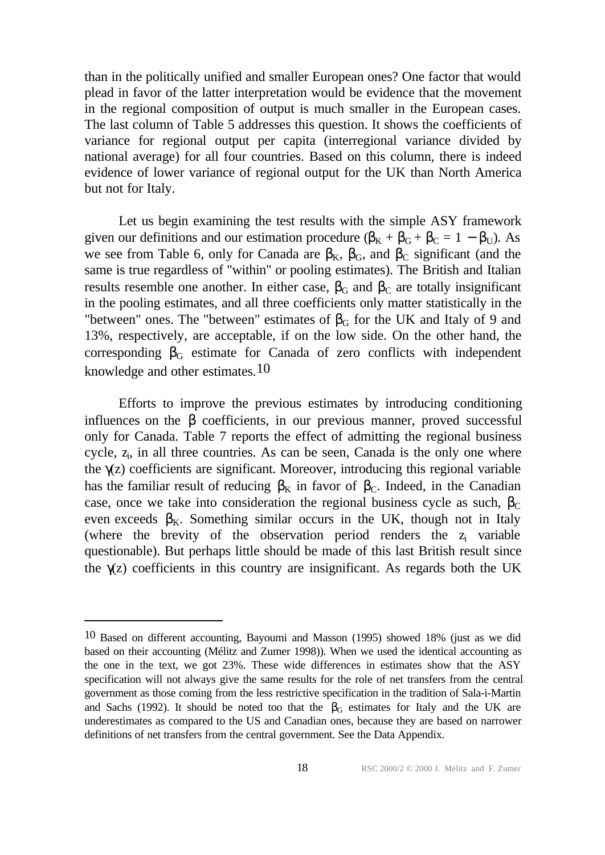than in the politically unified and smaller European ones? One factor that would plead in favor of the latter interpretation would be evidence that the movement in the regional composition of output is much smaller in the European cases. The last column of Table 5 addresses this question. It shows the coefficients of variance for regional output per capita (interregional variance divided by national average) for all four countries. Based on this column, there is indeed evidence of lower variance of regional output for the UK than North America but not for Italy.

Let us begin examining the test results with the simple ASY framework given our definitions and our estimation procedure  $(\beta_K + \beta_G + \beta_C = 1 - \beta_U)$ . As we see from Table 6, only for Canada are  $\beta_K$ ,  $\beta_G$ , and  $\beta_C$  significant (and the same is true regardless of "within" or pooling estimates). The British and Italian results resemble one another. In either case,  $\beta_G$  and  $\beta_C$  are totally insignificant in the pooling estimates, and all three coefficients only matter statistically in the "between" ones. The "between" estimates of  $\beta$ <sub>G</sub> for the UK and Italy of 9 and 13%, respectively, are acceptable, if on the low side. On the other hand, the corresponding  $\beta_G$  estimate for Canada of zero conflicts with independent knowledge and other estimates.<sup>10</sup>

Efforts to improve the previous estimates by introducing conditioning influences on the  $\beta$  coefficients, in our previous manner, proved successful only for Canada. Table 7 reports the effect of admitting the regional business cycle,  $z_i$ , in all three countries. As can be seen, Canada is the only one where the  $\gamma(z)$  coefficients are significant. Moreover, introducing this regional variable has the familiar result of reducing  $\beta_K$  in favor of  $\beta_C$ . Indeed, in the Canadian case, once we take into consideration the regional business cycle as such,  $\beta_c$ even exceeds  $\beta_{K}$ . Something similar occurs in the UK, though not in Italy (where the brevity of the observation period renders the  $z_i$  variable questionable). But perhaps little should be made of this last British result since the  $\gamma(z)$  coefficients in this country are insignificant. As regards both the UK

<sup>10</sup> Based on different accounting, Bayoumi and Masson (1995) showed 18% (just as we did based on their accounting (Mélitz and Zumer 1998)). When we used the identical accounting as the one in the text, we got 23%. These wide differences in estimates show that the ASY specification will not always give the same results for the role of net transfers from the central government as those coming from the less restrictive specification in the tradition of Sala-i-Martin and Sachs (1992). It should be noted too that the  $\beta$ <sub>G</sub> estimates for Italy and the UK are underestimates as compared to the US and Canadian ones, because they are based on narrower definitions of net transfers from the central government. See the Data Appendix.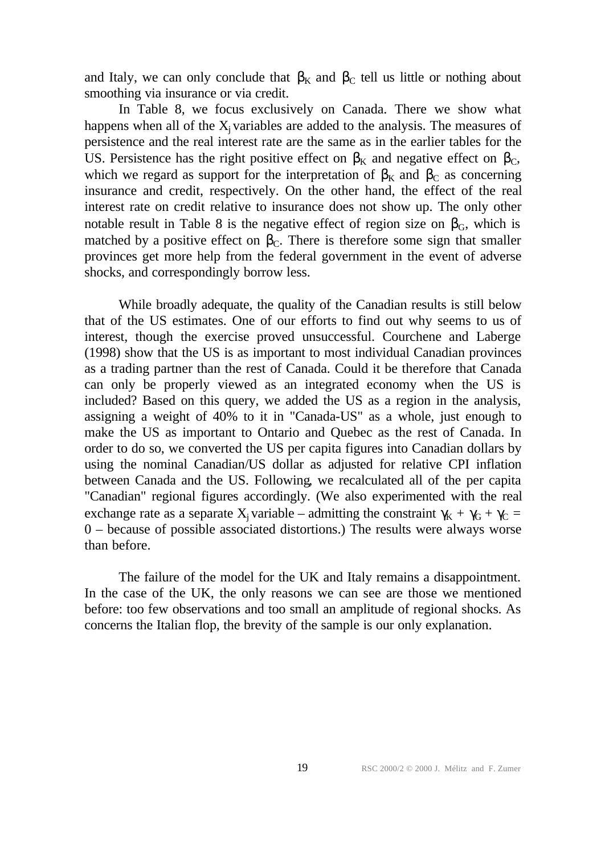and Italy, we can only conclude that  $\beta_K$  and  $\beta_C$  tell us little or nothing about smoothing via insurance or via credit.

In Table 8, we focus exclusively on Canada. There we show what happens when all of the  $X_i$  variables are added to the analysis. The measures of persistence and the real interest rate are the same as in the earlier tables for the US. Persistence has the right positive effect on  $\beta_K$  and negative effect on  $\beta_C$ , which we regard as support for the interpretation of  $\beta_K$  and  $\beta_C$  as concerning insurance and credit, respectively. On the other hand, the effect of the real interest rate on credit relative to insurance does not show up. The only other notable result in Table 8 is the negative effect of region size on  $\beta_{\rm G}$ , which is matched by a positive effect on  $\beta_c$ . There is therefore some sign that smaller provinces get more help from the federal government in the event of adverse shocks, and correspondingly borrow less.

While broadly adequate, the quality of the Canadian results is still below that of the US estimates. One of our efforts to find out why seems to us of interest, though the exercise proved unsuccessful. Courchene and Laberge (1998) show that the US is as important to most individual Canadian provinces as a trading partner than the rest of Canada. Could it be therefore that Canada can only be properly viewed as an integrated economy when the US is included? Based on this query, we added the US as a region in the analysis, assigning a weight of 40% to it in "Canada-US" as a whole, just enough to make the US as important to Ontario and Quebec as the rest of Canada. In order to do so, we converted the US per capita figures into Canadian dollars by using the nominal Canadian/US dollar as adjusted for relative CPI inflation between Canada and the US. Following, we recalculated all of the per capita "Canadian" regional figures accordingly. (We also experimented with the real exchange rate as a separate  $X_i$  variable – admitting the constraint  $\gamma_K + \gamma_G + \gamma_C =$ 0 – because of possible associated distortions.) The results were always worse than before.

The failure of the model for the UK and Italy remains a disappointment. In the case of the UK, the only reasons we can see are those we mentioned before: too few observations and too small an amplitude of regional shocks. As concerns the Italian flop, the brevity of the sample is our only explanation.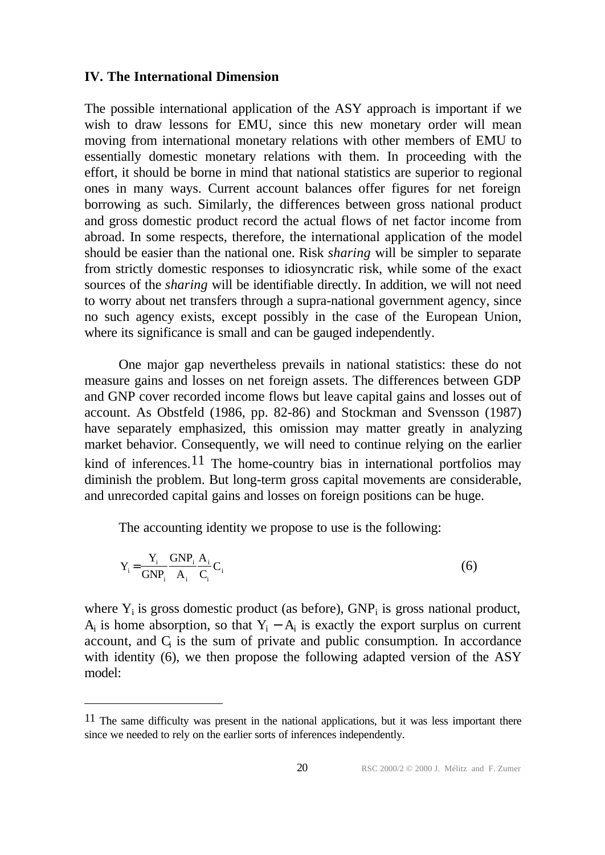#### **IV. The International Dimension**

l

The possible international application of the ASY approach is important if we wish to draw lessons for EMU, since this new monetary order will mean moving from international monetary relations with other members of EMU to essentially domestic monetary relations with them. In proceeding with the effort, it should be borne in mind that national statistics are superior to regional ones in many ways. Current account balances offer figures for net foreign borrowing as such. Similarly, the differences between gross national product and gross domestic product record the actual flows of net factor income from abroad. In some respects, therefore, the international application of the model should be easier than the national one. Risk *sharing* will be simpler to separate from strictly domestic responses to idiosyncratic risk, while some of the exact sources of the *sharing* will be identifiable directly. In addition, we will not need to worry about net transfers through a supra-national government agency, since no such agency exists, except possibly in the case of the European Union, where its significance is small and can be gauged independently.

One major gap nevertheless prevails in national statistics: these do not measure gains and losses on net foreign assets. The differences between GDP and GNP cover recorded income flows but leave capital gains and losses out of account. As Obstfeld (1986, pp. 82-86) and Stockman and Svensson (1987) have separately emphasized, this omission may matter greatly in analyzing market behavior. Consequently, we will need to continue relying on the earlier kind of inferences.<sup>11</sup> The home-country bias in international portfolios may diminish the problem. But long-term gross capital movements are considerable, and unrecorded capital gains and losses on foreign positions can be huge.

The accounting identity we propose to use is the following:

$$
Y_i = \frac{Y_i}{GNP_i} \frac{GNP_i}{A_i} \frac{A_i}{C_i} C_i
$$
 (6)

where  $Y_i$  is gross domestic product (as before),  $GNP_i$  is gross national product,  $A_i$  is home absorption, so that  $Y_i - A_i$  is exactly the export surplus on current  $account$ , and  $C<sub>i</sub>$  is the sum of private and public consumption. In accordance with identity (6), we then propose the following adapted version of the ASY model:

<sup>&</sup>lt;sup>11</sup> The same difficulty was present in the national applications, but it was less important there since we needed to rely on the earlier sorts of inferences independently.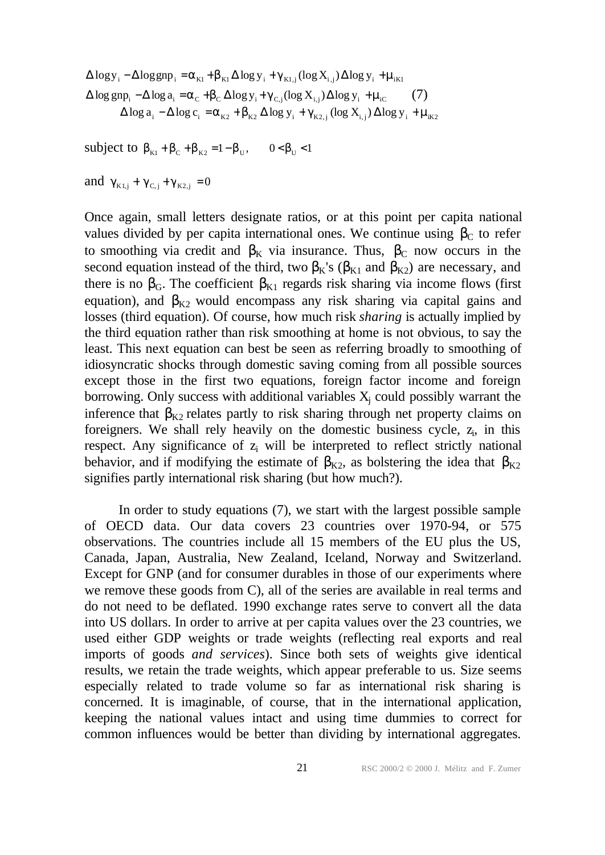$\Delta \log y_i - \Delta \log gnp_i = \alpha_{\text{K1}} + \beta_{\text{K1}} \Delta \log y_i + \gamma_{\text{K1},j} (\log X_{i,j}) \Delta \log y_i + \mu_{\text{iK1}}$  $\Delta \log g_{\text{np}_i} - \Delta \log a_i = \alpha_c + \beta_c \Delta \log y_i + \gamma_{c,i} (\log X_{i,j}) \Delta \log y_i + \mu_{ic}$  (7)  $\Delta \log a_i - \Delta \log c_i = \alpha_{K2} + \beta_{K2} \Delta \log y_i + \gamma_{K2,i} (\log X_{i,j}) \Delta \log y_i + \mu_{iK2}$ 

subject to  $\beta_{K1} + \beta_C + \beta_{K2} = 1 - \beta_U$ ,  $0 < \beta_U < 1$ 

and  $\gamma_{K1,j} + \gamma_{C,j} + \gamma_{K2,j} = 0$ 

Once again, small letters designate ratios, or at this point per capita national values divided by per capita international ones. We continue using  $β<sub>C</sub>$  to refer to smoothing via credit and  $\beta_K$  via insurance. Thus,  $\beta_C$  now occurs in the second equation instead of the third, two  $\beta_{K}$ 's ( $\beta_{K1}$  and  $\beta_{K2}$ ) are necessary, and there is no  $\beta_G$ . The coefficient  $\beta_{K1}$  regards risk sharing via income flows (first equation), and  $\beta_{K2}$  would encompass any risk sharing via capital gains and losses (third equation). Of course, how much risk *sharing* is actually implied by the third equation rather than risk smoothing at home is not obvious, to say the least. This next equation can best be seen as referring broadly to smoothing of idiosyncratic shocks through domestic saving coming from all possible sources except those in the first two equations, foreign factor income and foreign borrowing. Only success with additional variables  $X_j$  could possibly warrant the inference that  $\beta_{K2}$  relates partly to risk sharing through net property claims on foreigners. We shall rely heavily on the domestic business cycle,  $z_i$ , in this respect. Any significance of  $z_i$  will be interpreted to reflect strictly national behavior, and if modifying the estimate of  $\beta_{K2}$ , as bolstering the idea that  $\beta_{K2}$ signifies partly international risk sharing (but how much?).

In order to study equations (7), we start with the largest possible sample of OECD data. Our data covers 23 countries over 1970-94, or 575 observations. The countries include all 15 members of the EU plus the US, Canada, Japan, Australia, New Zealand, Iceland, Norway and Switzerland. Except for GNP (and for consumer durables in those of our experiments where we remove these goods from C), all of the series are available in real terms and do not need to be deflated. 1990 exchange rates serve to convert all the data into US dollars. In order to arrive at per capita values over the 23 countries, we used either GDP weights or trade weights (reflecting real exports and real imports of goods *and services*). Since both sets of weights give identical results, we retain the trade weights, which appear preferable to us. Size seems especially related to trade volume so far as international risk sharing is concerned. It is imaginable, of course, that in the international application, keeping the national values intact and using time dummies to correct for common influences would be better than dividing by international aggregates.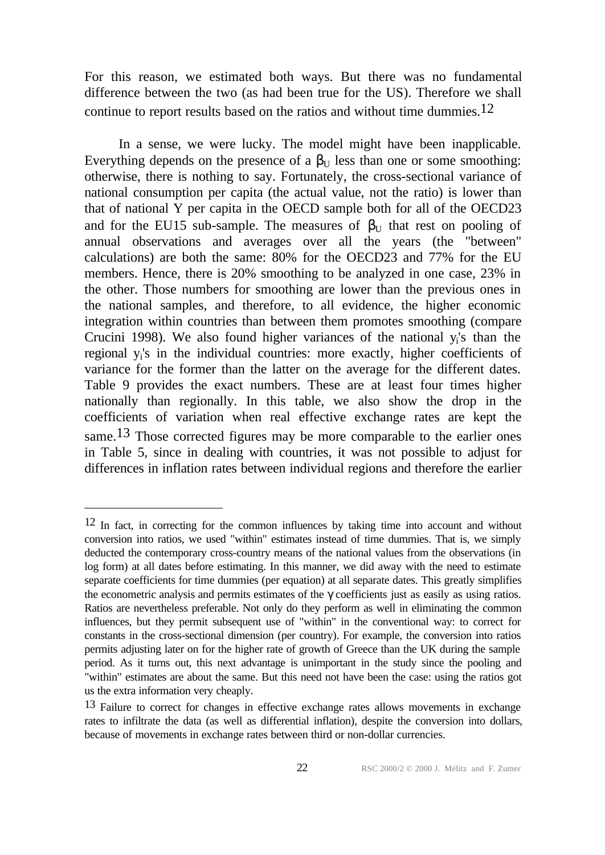For this reason, we estimated both ways. But there was no fundamental difference between the two (as had been true for the US). Therefore we shall continue to report results based on the ratios and without time dummies.12

In a sense, we were lucky. The model might have been inapplicable. Everything depends on the presence of a  $\beta_{\text{U}}$  less than one or some smoothing: otherwise, there is nothing to say. Fortunately, the cross-sectional variance of national consumption per capita (the actual value, not the ratio) is lower than that of national Y per capita in the OECD sample both for all of the OECD23 and for the EU15 sub-sample. The measures of  $\beta_{U}$  that rest on pooling of annual observations and averages over all the years (the "between" calculations) are both the same: 80% for the OECD23 and 77% for the EU members. Hence, there is 20% smoothing to be analyzed in one case, 23% in the other. Those numbers for smoothing are lower than the previous ones in the national samples, and therefore, to all evidence, the higher economic integration within countries than between them promotes smoothing (compare Crucini 1998). We also found higher variances of the national  $y_i$ 's than the regional y<sup>i</sup> 's in the individual countries: more exactly, higher coefficients of variance for the former than the latter on the average for the different dates. Table 9 provides the exact numbers. These are at least four times higher nationally than regionally. In this table, we also show the drop in the coefficients of variation when real effective exchange rates are kept the same.<sup>13</sup> Those corrected figures may be more comparable to the earlier ones in Table 5, since in dealing with countries, it was not possible to adjust for differences in inflation rates between individual regions and therefore the earlier

<sup>12</sup> In fact, in correcting for the common influences by taking time into account and without conversion into ratios, we used "within" estimates instead of time dummies. That is, we simply deducted the contemporary cross-country means of the national values from the observations (in log form) at all dates before estimating. In this manner, we did away with the need to estimate separate coefficients for time dummies (per equation) at all separate dates. This greatly simplifies the econometric analysis and permits estimates of the γ coefficients just as easily as using ratios. Ratios are nevertheless preferable. Not only do they perform as well in eliminating the common influences, but they permit subsequent use of "within" in the conventional way: to correct for constants in the cross-sectional dimension (per country). For example, the conversion into ratios permits adjusting later on for the higher rate of growth of Greece than the UK during the sample period. As it turns out, this next advantage is unimportant in the study since the pooling and "within" estimates are about the same. But this need not have been the case: using the ratios got us the extra information very cheaply.

<sup>13</sup> Failure to correct for changes in effective exchange rates allows movements in exchange rates to infiltrate the data (as well as differential inflation), despite the conversion into dollars, because of movements in exchange rates between third or non-dollar currencies.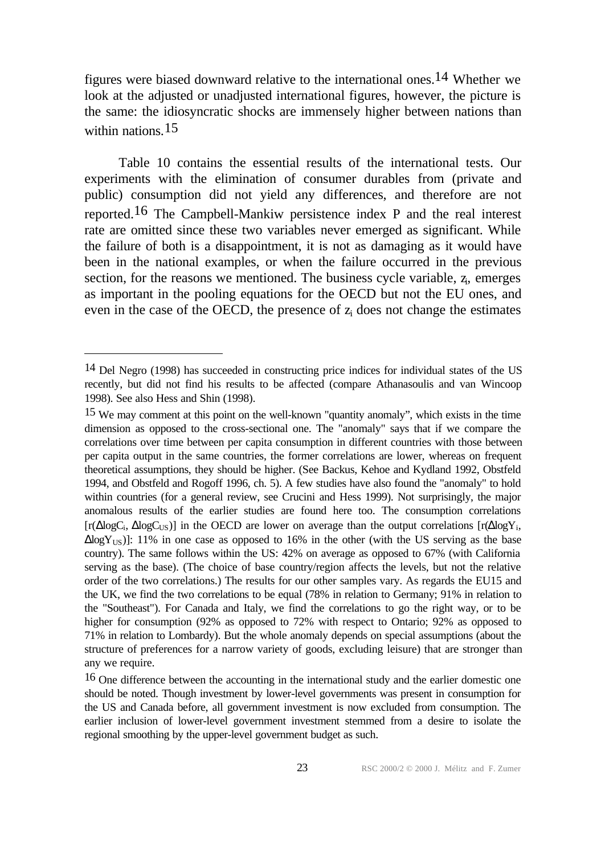figures were biased downward relative to the international ones.14 Whether we look at the adjusted or unadjusted international figures, however, the picture is the same: the idiosyncratic shocks are immensely higher between nations than within nations.<sup>15</sup>

Table 10 contains the essential results of the international tests. Our experiments with the elimination of consumer durables from (private and public) consumption did not yield any differences, and therefore are not reported.16 The Campbell-Mankiw persistence index P and the real interest rate are omitted since these two variables never emerged as significant. While the failure of both is a disappointment, it is not as damaging as it would have been in the national examples, or when the failure occurred in the previous section, for the reasons we mentioned. The business cycle variable,  $z_i$ , emerges as important in the pooling equations for the OECD but not the EU ones, and even in the case of the OECD, the presence of  $z_i$  does not change the estimates

<sup>14</sup> Del Negro (1998) has succeeded in constructing price indices for individual states of the US recently, but did not find his results to be affected (compare Athanasoulis and van Wincoop 1998). See also Hess and Shin (1998).

<sup>15</sup> We may comment at this point on the well-known "quantity anomaly", which exists in the time dimension as opposed to the cross-sectional one. The "anomaly" says that if we compare the correlations over time between per capita consumption in different countries with those between per capita output in the same countries, the former correlations are lower, whereas on frequent theoretical assumptions, they should be higher. (See Backus, Kehoe and Kydland 1992, Obstfeld 1994, and Obstfeld and Rogoff 1996, ch. 5). A few studies have also found the "anomaly" to hold within countries (for a general review, see Crucini and Hess 1999). Not surprisingly, the major anomalous results of the earlier studies are found here too. The consumption correlations [r( $\Delta$ logC<sub>i</sub>,  $\Delta$ logC<sub>US</sub>)] in the OECD are lower on average than the output correlations [r( $\Delta$ logY<sub>i</sub>,  $\Delta$ log $Y_{US}$ )]: 11% in one case as opposed to 16% in the other (with the US serving as the base country). The same follows within the US: 42% on average as opposed to 67% (with California serving as the base). (The choice of base country/region affects the levels, but not the relative order of the two correlations.) The results for our other samples vary. As regards the EU15 and the UK, we find the two correlations to be equal (78% in relation to Germany; 91% in relation to the "Southeast"). For Canada and Italy, we find the correlations to go the right way, or to be higher for consumption (92% as opposed to 72% with respect to Ontario; 92% as opposed to 71% in relation to Lombardy). But the whole anomaly depends on special assumptions (about the structure of preferences for a narrow variety of goods, excluding leisure) that are stronger than any we require.

<sup>16</sup> One difference between the accounting in the international study and the earlier domestic one should be noted. Though investment by lower-level governments was present in consumption for the US and Canada before, all government investment is now excluded from consumption. The earlier inclusion of lower-level government investment stemmed from a desire to isolate the regional smoothing by the upper-level government budget as such.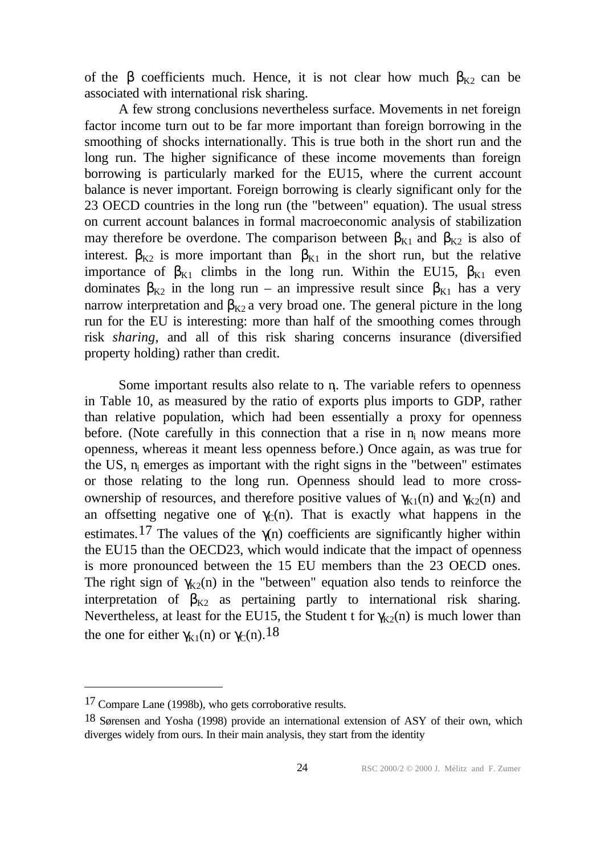of the  $\beta$  coefficients much. Hence, it is not clear how much  $\beta_{K2}$  can be associated with international risk sharing.

A few strong conclusions nevertheless surface. Movements in net foreign factor income turn out to be far more important than foreign borrowing in the smoothing of shocks internationally. This is true both in the short run and the long run. The higher significance of these income movements than foreign borrowing is particularly marked for the EU15, where the current account balance is never important. Foreign borrowing is clearly significant only for the 23 OECD countries in the long run (the "between" equation). The usual stress on current account balances in formal macroeconomic analysis of stabilization may therefore be overdone. The comparison between  $\beta_{K1}$  and  $\beta_{K2}$  is also of interest.  $\beta_{K2}$  is more important than  $\beta_{K1}$  in the short run, but the relative importance of  $\beta_{K1}$  climbs in the long run. Within the EU15,  $\beta_{K1}$  even dominates  $\beta_{K2}$  in the long run – an impressive result since  $\beta_{K1}$  has a very narrow interpretation and  $\beta_{K2}$  a very broad one. The general picture in the long run for the EU is interesting: more than half of the smoothing comes through risk *sharing*, and all of this risk sharing concerns insurance (diversified property holding) rather than credit.

Some important results also relate to n. The variable refers to openness in Table 10, as measured by the ratio of exports plus imports to GDP, rather than relative population, which had been essentially a proxy for openness before. (Note carefully in this connection that a rise in  $n_i$  now means more openness, whereas it meant less openness before.) Once again, as was true for the US, n<sub>i</sub> emerges as important with the right signs in the "between" estimates or those relating to the long run. Openness should lead to more crossownership of resources, and therefore positive values of  $γ_{K1}(n)$  and  $γ_{K2}(n)$  and an offsetting negative one of  $\gamma_C(n)$ . That is exactly what happens in the estimates.<sup>17</sup> The values of the  $\gamma$ (n) coefficients are significantly higher within the EU15 than the OECD23, which would indicate that the impact of openness is more pronounced between the 15 EU members than the 23 OECD ones. The right sign of  $\gamma_{K2}(n)$  in the "between" equation also tends to reinforce the interpretation of  $\beta_{K2}$  as pertaining partly to international risk sharing. Nevertheless, at least for the EU15, the Student t for  $\gamma_{K2}(n)$  is much lower than the one for either  $\gamma_{K1}(n)$  or  $\gamma_{C}(n)$ .<sup>18</sup>

<sup>17</sup> Compare Lane (1998b), who gets corroborative results.

<sup>18</sup> Sørensen and Yosha (1998) provide an international extension of ASY of their own, which diverges widely from ours. In their main analysis, they start from the identity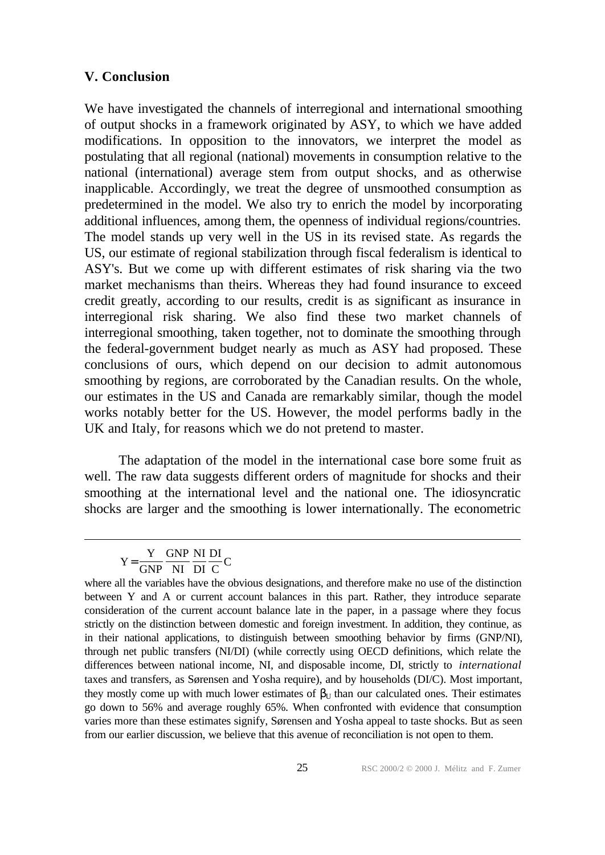## **V. Conclusion**

We have investigated the channels of interregional and international smoothing of output shocks in a framework originated by ASY, to which we have added modifications. In opposition to the innovators, we interpret the model as postulating that all regional (national) movements in consumption relative to the national (international) average stem from output shocks, and as otherwise inapplicable. Accordingly, we treat the degree of unsmoothed consumption as predetermined in the model. We also try to enrich the model by incorporating additional influences, among them, the openness of individual regions/countries. The model stands up very well in the US in its revised state. As regards the US, our estimate of regional stabilization through fiscal federalism is identical to ASY's. But we come up with different estimates of risk sharing via the two market mechanisms than theirs. Whereas they had found insurance to exceed credit greatly, according to our results, credit is as significant as insurance in interregional risk sharing. We also find these two market channels of interregional smoothing, taken together, not to dominate the smoothing through the federal-government budget nearly as much as ASY had proposed. These conclusions of ours, which depend on our decision to admit autonomous smoothing by regions, are corroborated by the Canadian results. On the whole, our estimates in the US and Canada are remarkably similar, though the model works notably better for the US. However, the model performs badly in the UK and Italy, for reasons which we do not pretend to master.

The adaptation of the model in the international case bore some fruit as well. The raw data suggests different orders of magnitude for shocks and their smoothing at the international level and the national one. The idiosyncratic shocks are larger and the smoothing is lower internationally. The econometric

Y Y GNP NI DI

GNP NI DI  $=\frac{1}{GNP} \frac{GMP}{NI} \frac{H1}{DI} \frac{B1}{C}C$ 

where all the variables have the obvious designations, and therefore make no use of the distinction between Y and A or current account balances in this part. Rather, they introduce separate consideration of the current account balance late in the paper, in a passage where they focus strictly on the distinction between domestic and foreign investment. In addition, they continue, as in their national applications, to distinguish between smoothing behavior by firms (GNP/NI), through net public transfers (NI/DI) (while correctly using OECD definitions, which relate the differences between national income, NI, and disposable income, DI, strictly to *international* taxes and transfers, as Sørensen and Yosha require), and by households (DI/C). Most important, they mostly come up with much lower estimates of  $\beta_{U}$  than our calculated ones. Their estimates go down to 56% and average roughly 65%. When confronted with evidence that consumption varies more than these estimates signify, Sørensen and Yosha appeal to taste shocks. But as seen from our earlier discussion, we believe that this avenue of reconciliation is not open to them.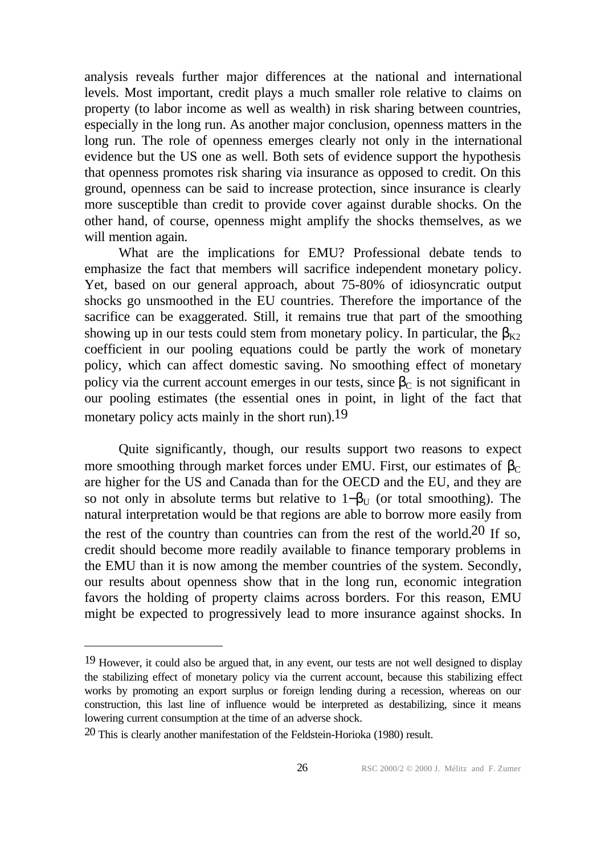analysis reveals further major differences at the national and international levels. Most important, credit plays a much smaller role relative to claims on property (to labor income as well as wealth) in risk sharing between countries, especially in the long run. As another major conclusion, openness matters in the long run. The role of openness emerges clearly not only in the international evidence but the US one as well. Both sets of evidence support the hypothesis that openness promotes risk sharing via insurance as opposed to credit. On this ground, openness can be said to increase protection, since insurance is clearly more susceptible than credit to provide cover against durable shocks. On the other hand, of course, openness might amplify the shocks themselves, as we will mention again.

What are the implications for EMU? Professional debate tends to emphasize the fact that members will sacrifice independent monetary policy. Yet, based on our general approach, about 75-80% of idiosyncratic output shocks go unsmoothed in the EU countries. Therefore the importance of the sacrifice can be exaggerated. Still, it remains true that part of the smoothing showing up in our tests could stem from monetary policy. In particular, the  $\beta_{K2}$ coefficient in our pooling equations could be partly the work of monetary policy, which can affect domestic saving. No smoothing effect of monetary policy via the current account emerges in our tests, since  $\beta_c$  is not significant in our pooling estimates (the essential ones in point, in light of the fact that monetary policy acts mainly in the short run).<sup>19</sup>

Quite significantly, though, our results support two reasons to expect more smoothing through market forces under EMU. First, our estimates of  $\beta_C$ are higher for the US and Canada than for the OECD and the EU, and they are so not only in absolute terms but relative to  $1-\beta_{U}$  (or total smoothing). The natural interpretation would be that regions are able to borrow more easily from the rest of the country than countries can from the rest of the world.20 If so, credit should become more readily available to finance temporary problems in the EMU than it is now among the member countries of the system. Secondly, our results about openness show that in the long run, economic integration favors the holding of property claims across borders. For this reason, EMU might be expected to progressively lead to more insurance against shocks. In

<sup>19</sup> However, it could also be argued that, in any event, our tests are not well designed to display the stabilizing effect of monetary policy via the current account, because this stabilizing effect works by promoting an export surplus or foreign lending during a recession, whereas on our construction, this last line of influence would be interpreted as destabilizing, since it means lowering current consumption at the time of an adverse shock.

<sup>20</sup> This is clearly another manifestation of the Feldstein-Horioka (1980) result.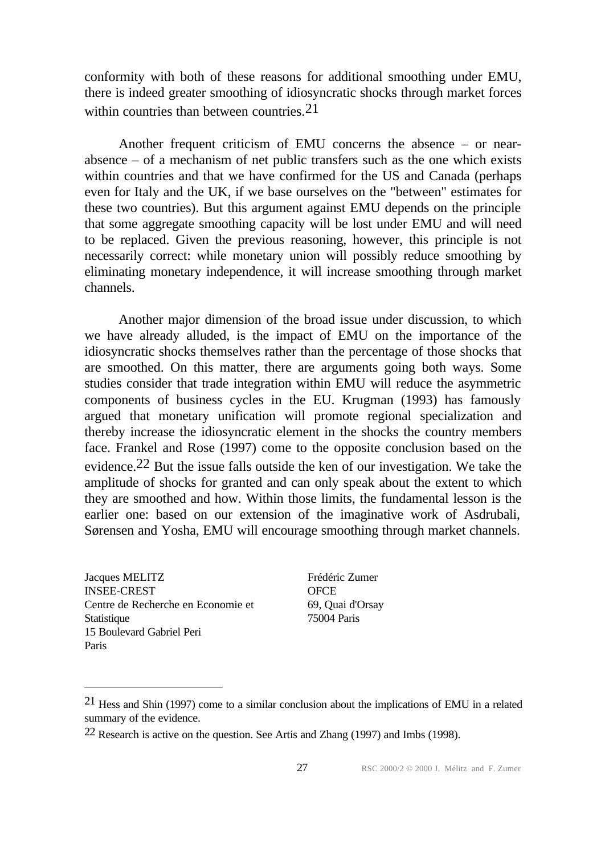conformity with both of these reasons for additional smoothing under EMU, there is indeed greater smoothing of idiosyncratic shocks through market forces within countries than between countries.<sup>21</sup>

Another frequent criticism of EMU concerns the absence – or nearabsence – of a mechanism of net public transfers such as the one which exists within countries and that we have confirmed for the US and Canada (perhaps even for Italy and the UK, if we base ourselves on the "between" estimates for these two countries). But this argument against EMU depends on the principle that some aggregate smoothing capacity will be lost under EMU and will need to be replaced. Given the previous reasoning, however, this principle is not necessarily correct: while monetary union will possibly reduce smoothing by eliminating monetary independence, it will increase smoothing through market channels.

Another major dimension of the broad issue under discussion, to which we have already alluded, is the impact of EMU on the importance of the idiosyncratic shocks themselves rather than the percentage of those shocks that are smoothed. On this matter, there are arguments going both ways. Some studies consider that trade integration within EMU will reduce the asymmetric components of business cycles in the EU. Krugman (1993) has famously argued that monetary unification will promote regional specialization and thereby increase the idiosyncratic element in the shocks the country members face. Frankel and Rose (1997) come to the opposite conclusion based on the evidence.22 But the issue falls outside the ken of our investigation. We take the amplitude of shocks for granted and can only speak about the extent to which they are smoothed and how. Within those limits, the fundamental lesson is the earlier one: based on our extension of the imaginative work of Asdrubali, Sørensen and Yosha, EMU will encourage smoothing through market channels.

Jacques MELITZ INSEE-CREST Centre de Recherche en Economie et **Statistique** 15 Boulevard Gabriel Peri Paris

l

Frédéric Zumer **OFCE** 69, Quai d'Orsay 75004 Paris

<sup>21</sup> Hess and Shin (1997) come to a similar conclusion about the implications of EMU in a related summary of the evidence.

<sup>22</sup> Research is active on the question. See Artis and Zhang (1997) and Imbs (1998).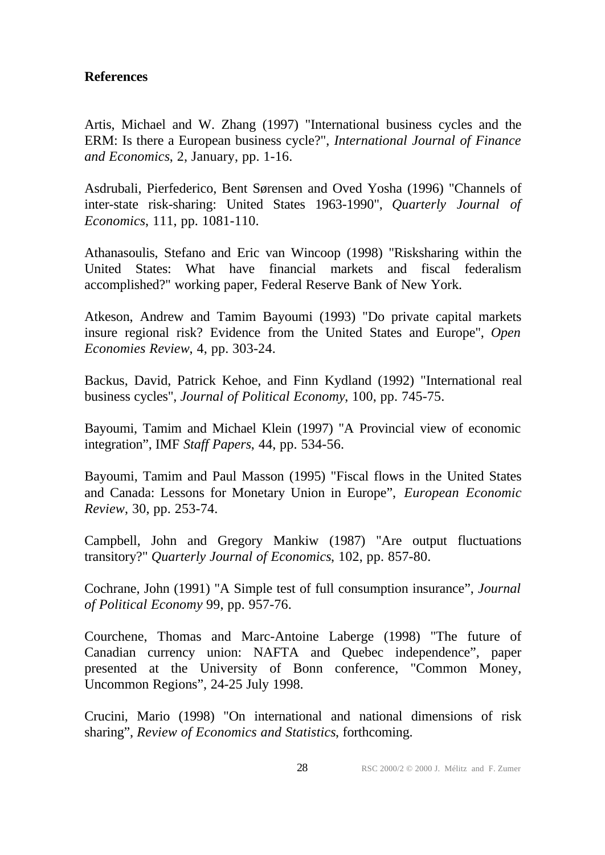## **References**

Artis, Michael and W. Zhang (1997) "International business cycles and the ERM: Is there a European business cycle?", *International Journal of Finance and Economics*, 2, January, pp. 1-16.

Asdrubali, Pierfederico, Bent Sørensen and Oved Yosha (1996) "Channels of inter-state risk-sharing: United States 1963-1990", *Quarterly Journal of Economics*, 111, pp. 1081-110.

Athanasoulis, Stefano and Eric van Wincoop (1998) "Risksharing within the United States: What have financial markets and fiscal federalism accomplished?" working paper, Federal Reserve Bank of New York.

Atkeson, Andrew and Tamim Bayoumi (1993) "Do private capital markets insure regional risk? Evidence from the United States and Europe", *Open Economies Review*, 4, pp. 303-24.

Backus, David, Patrick Kehoe, and Finn Kydland (1992) "International real business cycles", *Journal of Political Economy*, 100, pp. 745-75.

Bayoumi, Tamim and Michael Klein (1997) "A Provincial view of economic integration", IMF *Staff Papers*, 44, pp. 534-56.

Bayoumi, Tamim and Paul Masson (1995) "Fiscal flows in the United States and Canada: Lessons for Monetary Union in Europe", *European Economic Review*, 30, pp. 253-74.

Campbell, John and Gregory Mankiw (1987) "Are output fluctuations transitory?" *Quarterly Journal of Economics*, 102, pp. 857-80.

Cochrane, John (1991) "A Simple test of full consumption insurance", *Journal of Political Economy* 99, pp. 957-76.

Courchene, Thomas and Marc-Antoine Laberge (1998) "The future of Canadian currency union: NAFTA and Quebec independence", paper presented at the University of Bonn conference, "Common Money, Uncommon Regions", 24-25 July 1998.

Crucini, Mario (1998) "On international and national dimensions of risk sharing", *Review of Economics and Statistics*, forthcoming.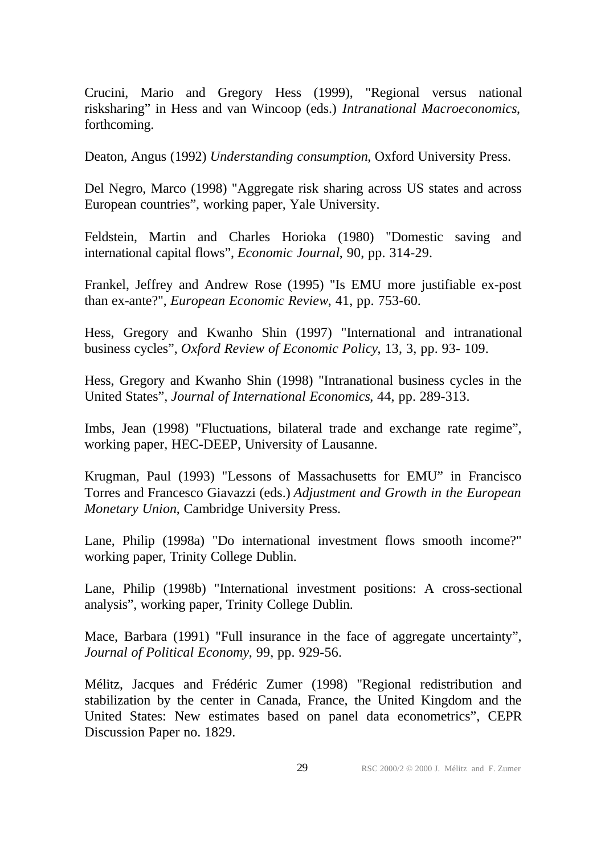Crucini, Mario and Gregory Hess (1999), "Regional versus national risksharing" in Hess and van Wincoop (eds.) *Intranational Macroeconomics*, forthcoming.

Deaton, Angus (1992) *Understanding consumption*, Oxford University Press.

Del Negro, Marco (1998) "Aggregate risk sharing across US states and across European countries", working paper, Yale University.

Feldstein, Martin and Charles Horioka (1980) "Domestic saving and international capital flows", *Economic Journal*, 90, pp. 314-29.

Frankel, Jeffrey and Andrew Rose (1995) "Is EMU more justifiable ex-post than ex-ante?", *European Economic Review*, 41, pp. 753-60.

Hess, Gregory and Kwanho Shin (1997) "International and intranational business cycles", *Oxford Review of Economic Policy*, 13, 3, pp. 93- 109.

Hess, Gregory and Kwanho Shin (1998) "Intranational business cycles in the United States", *Journal of International Economics*, 44, pp. 289-313.

Imbs, Jean (1998) "Fluctuations, bilateral trade and exchange rate regime", working paper, HEC-DEEP, University of Lausanne.

Krugman, Paul (1993) "Lessons of Massachusetts for EMU" in Francisco Torres and Francesco Giavazzi (eds.) *Adjustment and Growth in the European Monetary Union*, Cambridge University Press.

Lane, Philip (1998a) "Do international investment flows smooth income?" working paper, Trinity College Dublin.

Lane, Philip (1998b) "International investment positions: A cross-sectional analysis", working paper, Trinity College Dublin.

Mace, Barbara (1991) "Full insurance in the face of aggregate uncertainty", *Journal of Political Economy*, 99, pp. 929-56.

Mélitz, Jacques and Frédéric Zumer (1998) "Regional redistribution and stabilization by the center in Canada, France, the United Kingdom and the United States: New estimates based on panel data econometrics", CEPR Discussion Paper no. 1829.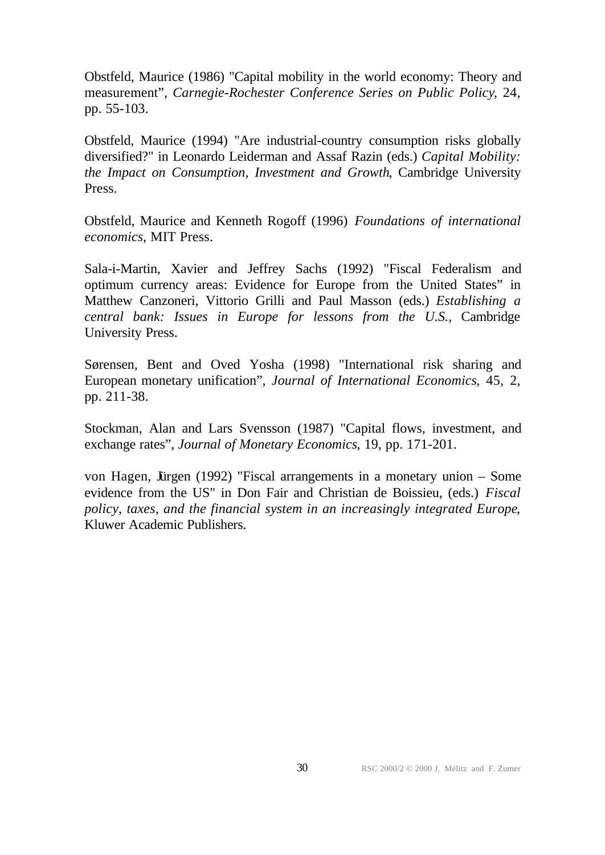Obstfeld, Maurice (1986) "Capital mobility in the world economy: Theory and measurement", *Carnegie-Rochester Conference Series on Public Policy*, 24, pp. 55-103.

Obstfeld, Maurice (1994) "Are industrial-country consumption risks globally diversified?" in Leonardo Leiderman and Assaf Razin (eds.) *Capital Mobility: the Impact on Consumption, Investment and Growth*, Cambridge University Press.

Obstfeld, Maurice and Kenneth Rogoff (1996) *Foundations of international economics*, MIT Press.

Sala-i-Martin, Xavier and Jeffrey Sachs (1992) "Fiscal Federalism and optimum currency areas: Evidence for Europe from the United States" in Matthew Canzoneri, Vittorio Grilli and Paul Masson (eds.) *Establishing a central bank: Issues in Europe for lessons from the U.S.,* Cambridge University Press.

Sørensen, Bent and Oved Yosha (1998) "International risk sharing and European monetary unification", *Journal of International Economics*, 45, 2, pp. 211-38.

Stockman, Alan and Lars Svensson (1987) "Capital flows, investment, and exchange rates", *Journal of Monetary Economics*, 19, pp. 171-201.

von Hagen, Jürgen (1992) "Fiscal arrangements in a monetary union – Some evidence from the US" in Don Fair and Christian de Boissieu, (eds.) *Fiscal policy, taxes, and the financial system in an increasingly integrated Europe*, Kluwer Academic Publishers.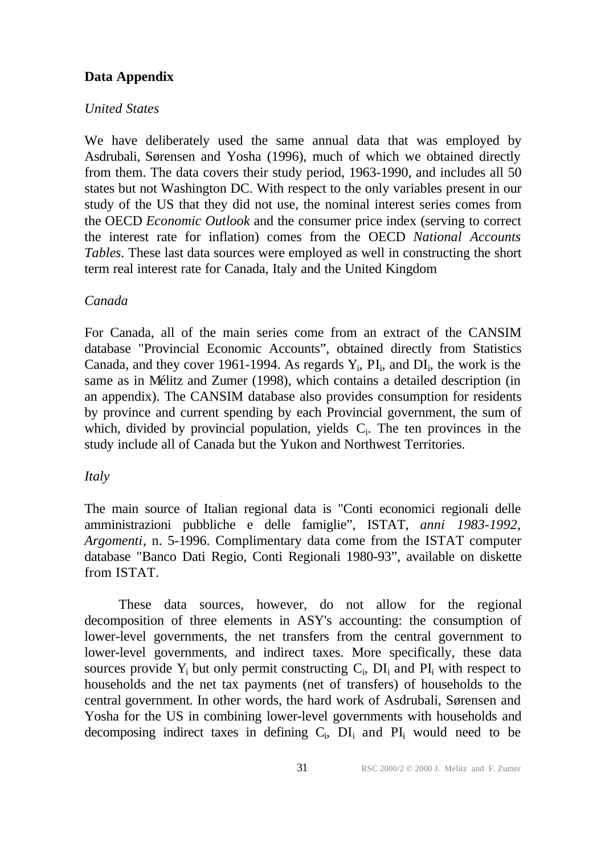# **Data Appendix**

# *United States*

We have deliberately used the same annual data that was employed by Asdrubali, Sørensen and Yosha (1996), much of which we obtained directly from them. The data covers their study period, 1963-1990, and includes all 50 states but not Washington DC. With respect to the only variables present in our study of the US that they did not use, the nominal interest series comes from the OECD *Economic Outlook* and the consumer price index (serving to correct the interest rate for inflation) comes from the OECD *National Accounts Tables*. These last data sources were employed as well in constructing the short term real interest rate for Canada, Italy and the United Kingdom

# *Canada*

For Canada, all of the main series come from an extract of the CANSIM database "Provincial Economic Accounts", obtained directly from Statistics Canada, and they cover 1961-1994. As regards  $Y_i$ ,  $PI_i$ , and  $DI_i$ , the work is the same as in Mélitz and Zumer (1998), which contains a detailed description (in an appendix). The CANSIM database also provides consumption for residents by province and current spending by each Provincial government, the sum of which, divided by provincial population, yields  $C_i$ . The ten provinces in the study include all of Canada but the Yukon and Northwest Territories.

# *Italy*

The main source of Italian regional data is "Conti economici regionali delle amministrazioni pubbliche e delle famiglie", ISTAT, *anni 1983-1992, Argomenti*, n. 5-1996. Complimentary data come from the ISTAT computer database "Banco Dati Regio, Conti Regionali 1980-93", available on diskette from ISTAT.

These data sources, however, do not allow for the regional decomposition of three elements in ASY's accounting: the consumption of lower-level governments, the net transfers from the central government to lower-level governments, and indirect taxes. More specifically, these data sources provide  $Y_i$  but only permit constructing  $C_i$ ,  $DI_i$  and  $PI_i$  with respect to households and the net tax payments (net of transfers) of households to the central government. In other words, the hard work of Asdrubali, Sørensen and Yosha for the US in combining lower-level governments with households and decomposing indirect taxes in defining  $C_i$ ,  $DI_i$  and  $PI_i$  would need to be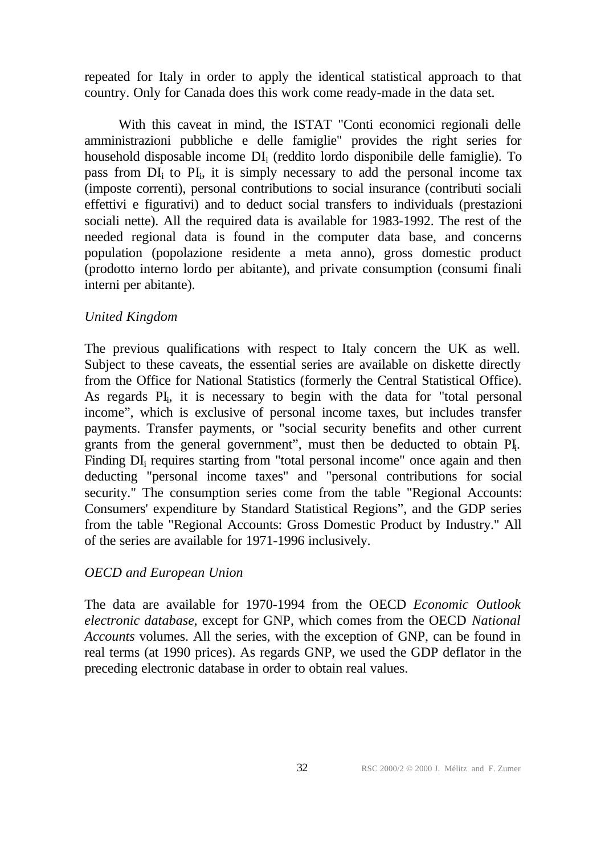repeated for Italy in order to apply the identical statistical approach to that country. Only for Canada does this work come ready-made in the data set.

With this caveat in mind, the ISTAT "Conti economici regionali delle amministrazioni pubbliche e delle famiglie" provides the right series for household disposable income DI<sub>i</sub> (reddito lordo disponibile delle famiglie). To pass from DI<sub>i</sub> to PI<sub>i</sub>, it is simply necessary to add the personal income tax (imposte correnti), personal contributions to social insurance (contributi sociali effettivi e figurativi) and to deduct social transfers to individuals (prestazioni sociali nette). All the required data is available for 1983-1992. The rest of the needed regional data is found in the computer data base, and concerns population (popolazione residente a meta anno), gross domestic product (prodotto interno lordo per abitante), and private consumption (consumi finali interni per abitante).

# *United Kingdom*

The previous qualifications with respect to Italy concern the UK as well. Subject to these caveats, the essential series are available on diskette directly from the Office for National Statistics (formerly the Central Statistical Office). As regards PI<sub>i</sub>, it is necessary to begin with the data for "total personal income", which is exclusive of personal income taxes, but includes transfer payments. Transfer payments, or "social security benefits and other current grants from the general government", must then be deducted to obtain PI. Finding DI<sub>i</sub> requires starting from "total personal income" once again and then deducting "personal income taxes" and "personal contributions for social security." The consumption series come from the table "Regional Accounts: Consumers' expenditure by Standard Statistical Regions", and the GDP series from the table "Regional Accounts: Gross Domestic Product by Industry." All of the series are available for 1971-1996 inclusively.

# *OECD and European Union*

The data are available for 1970-1994 from the OECD *Economic Outlook electronic database*, except for GNP, which comes from the OECD *National Accounts* volumes. All the series, with the exception of GNP, can be found in real terms (at 1990 prices). As regards GNP, we used the GDP deflator in the preceding electronic database in order to obtain real values.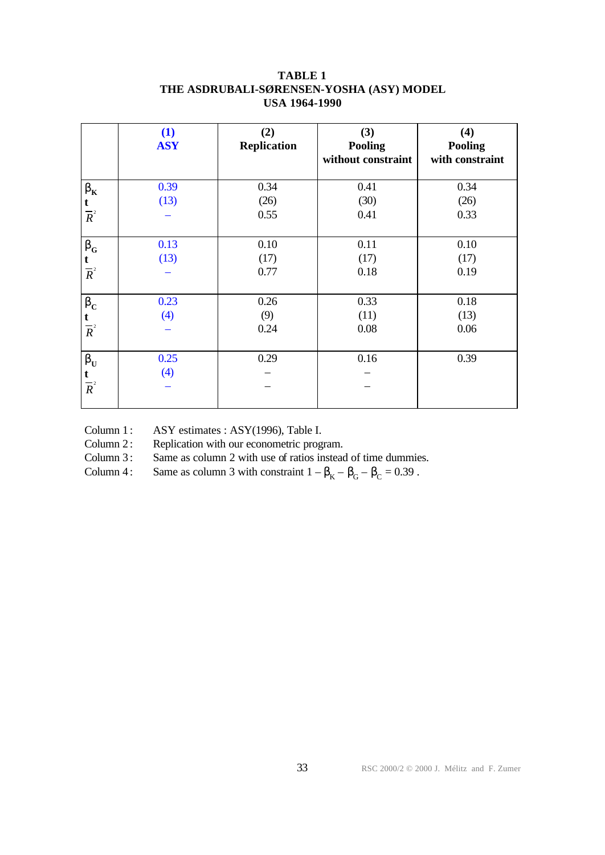|                                              | (1)<br><b>ASY</b> | (2)<br><b>Replication</b> | (3)<br><b>Pooling</b><br>without constraint | (4)<br><b>Pooling</b><br>with constraint |
|----------------------------------------------|-------------------|---------------------------|---------------------------------------------|------------------------------------------|
| $\mathbf{b}_{\rm K}$                         | 0.39<br>(13)      | 0.34<br>(26)              | 0.41<br>(30)                                | 0.34<br>(26)                             |
| $\frac{t}{R^2}$                              |                   | 0.55                      | 0.41                                        | 0.33                                     |
| $\mathbf{b}_{\rm G}$<br>$\frac{t}{R^2}$      | 0.13<br>(13)      | 0.10<br>(17)<br>0.77      | 0.11<br>(17)<br>0.18                        | 0.10<br>(17)<br>0.19                     |
| $\mathbf{b}_{\rm C}$<br>$\frac{t}{R^2}$      | 0.23<br>(4)       | 0.26<br>(9)<br>0.24       | 0.33<br>(11)<br>0.08                        | 0.18<br>(13)<br>0.06                     |
| $\mathbf{b}_{\mathrm{U}}$<br>$\frac{t}{R^2}$ | 0.25<br>(4)       | 0.29                      | 0.16                                        | 0.39                                     |

## **TABLE 1 THE ASDRUBALI-SØRENSEN-YOSHA (ASY) MODEL USA 1964-1990**

Column 1: ASY estimates : ASY(1996), Table I.

Column 2: Replication with our econometric program.

Column 3: Same as column 2 with use of ratios instead of time dummies.

Column 4: Same as column 3 with constraint  $1 - \beta_K - \beta_G - \beta_C = 0.39$ .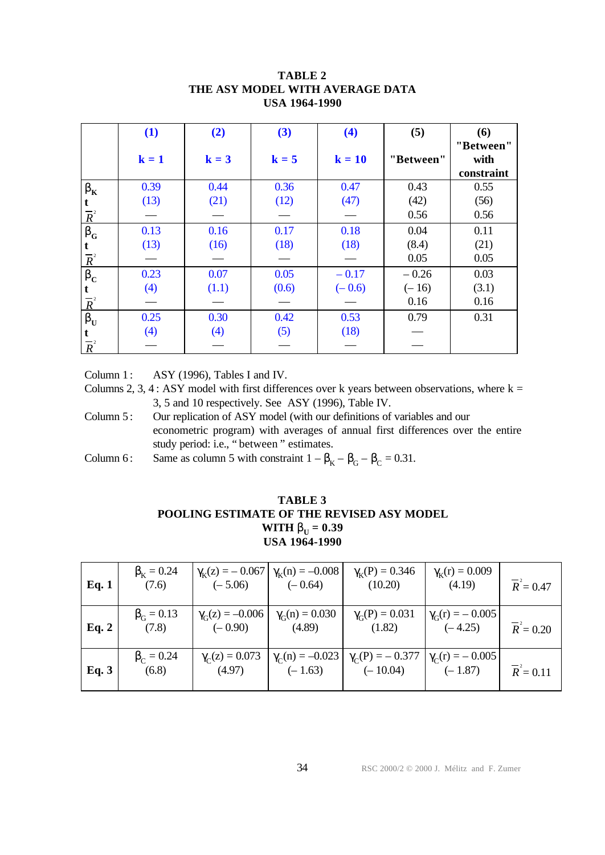|                           | (1)     | (2)     | (3)     | (4)      | (5)       | (6)                             |
|---------------------------|---------|---------|---------|----------|-----------|---------------------------------|
|                           | $k = 1$ | $k = 3$ | $k = 5$ | $k = 10$ | "Between" | "Between"<br>with<br>constraint |
| $\mathbf{b}_{\mathrm{K}}$ | 0.39    | 0.44    | 0.36    | 0.47     | 0.43      | 0.55                            |
|                           | (13)    | (21)    | (12)    | (47)     | (42)      | (56)                            |
| $\frac{t}{R^2}$           |         |         |         |          | 0.56      | 0.56                            |
| $\mathbf{b}_{\rm G}$      | 0.13    | 0.16    | 0.17    | 0.18     | 0.04      | 0.11                            |
|                           | (13)    | (16)    | (18)    | (18)     | (8.4)     | (21)                            |
| $\frac{t}{R^2}$           |         |         |         |          | 0.05      | 0.05                            |
| $\mathbf{b}_{\rm C}$      | 0.23    | 0.07    | 0.05    | $-0.17$  | $-0.26$   | 0.03                            |
|                           | (4)     | (1.1)   | (0.6)   | $(-0.6)$ | $(-16)$   | (3.1)                           |
| $\frac{1}{R^2}$           |         |         |         |          | 0.16      | 0.16                            |
| $\mathbf{b}_{\mathrm{U}}$ | 0.25    | 0.30    | 0.42    | 0.53     | 0.79      | 0.31                            |
|                           | (4)     | (4)     | (5)     | (18)     |           |                                 |
| $\frac{t}{R^2}$           |         |         |         |          |           |                                 |

## **TABLE 2 THE ASY MODEL WITH AVERAGE DATA USA 1964-1990**

Column 1:  $ASY$  (1996), Tables I and IV.

Columns 2, 3, 4 : ASY model with first differences over k years between observations, where  $k =$ 3, 5 and 10 respectively. See ASY (1996), Table IV.

- Column 5: Our replication of ASY model (with our definitions of variables and our econometric program) with averages of annual first differences over the entire study period: i.e., " between " estimates.
- Column 6: Same as column 5 with constraint  $1 \beta_K \beta_G \beta_C = 0.31$ .

## **TABLE 3 POOLING ESTIMATE OF THE REVISED ASY MODEL WITH**  $\mathbf{b}_{\text{U}} = 0.39$ **USA 1964-1990**

| Eq. 1 | $\beta_{\rm k} = 0.24$<br>(7.6) | $\gamma_{\rm K}(z) = -0.067$<br>$(-5.06)$ | $\gamma_{\rm k}(n) = -0.008$<br>$(-0.64)$ | $\gamma_{K}(P) = 0.346$<br>(10.20)                          | $\gamma_{\rm K}({\rm r}) = 0.009$<br>(4.19) | $\overline{R}^2 = 0.47$ |
|-------|---------------------------------|-------------------------------------------|-------------------------------------------|-------------------------------------------------------------|---------------------------------------------|-------------------------|
| Eq. 2 | $\beta_{\rm C} = 0.13$<br>(7.8) | $\gamma_G(z) = -0.006$<br>$(-0.90)$       | $\gamma_G(n) = 0.030$<br>(4.89)           | $\gamma_G(P) = 0.031$<br>(1.82)                             | $\gamma_{\rm G}(r) = -0.005$<br>$(-4.25)$   | $\overline{R}^2 = 0.20$ |
| Eq. 3 | $\beta_C = 0.24$<br>(6.8)       | $\gamma_C(z) = 0.073$<br>(4.97)           | $\gamma_C(n) = -0.023$<br>$(-1.63)$       | $\gamma_C(P) = -0.377$ $\gamma_C(r) = -0.005$<br>$(-10.04)$ | $(-1.87)$                                   | $\overline{R}^2 = 0.11$ |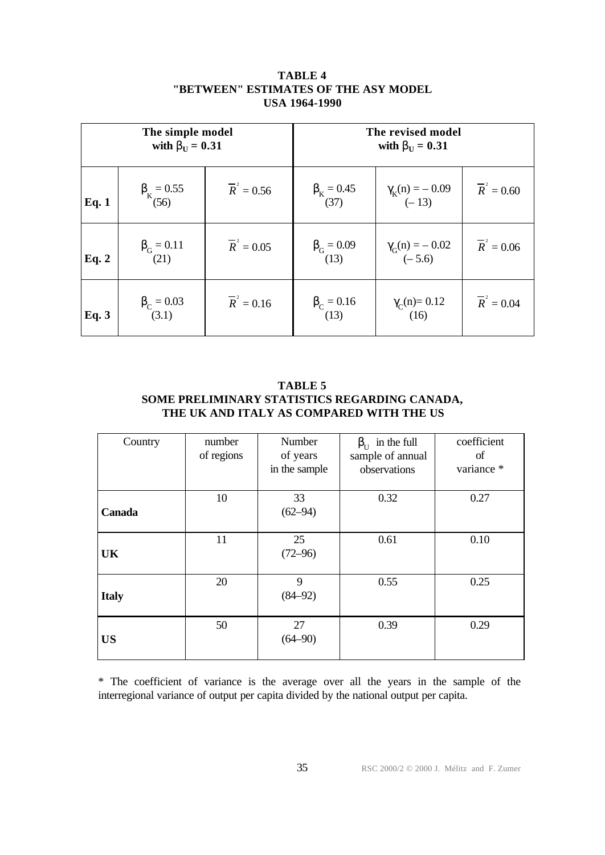| The simple model<br>with $\mathbf{b}_{\text{U}} = 0.31$ |                                 |                    | The revised model<br>with $\mathbf{b}_{\text{U}} = 0.31$ |                                 |                    |
|---------------------------------------------------------|---------------------------------|--------------------|----------------------------------------------------------|---------------------------------|--------------------|
| Eq. 1                                                   | $\beta_{K} = 0.55$<br>(56)      | $\bar{R}^2 = 0.56$ | $\beta_{K} = 0.45$<br>(37)                               | $\gamma_K(n) = -0.09$<br>(-13)  | $\bar{R}^2 = 0.60$ |
| Eq. 2                                                   | $\beta_{G} = 0.11$<br>(21)      | $\bar{R}^2 = 0.05$ | $\beta_{G} = 0.09$<br>(13)                               | $\gamma_G(n) = -0.02$<br>(-5.6) | $\bar{R}^2 = 0.06$ |
| Eq. 3                                                   | $\beta_{\rm C} = 0.03$<br>(3.1) | $\bar{R}^2 = 0.16$ | $\beta_c = 0.16$<br>(13)                                 | $\gamma_C(n)=0.12$<br>(16)      | $\bar{R}^2 = 0.04$ |

## **TABLE 4 "BETWEEN" ESTIMATES OF THE ASY MODEL USA 1964-1990**

**TABLE 5 SOME PRELIMINARY STATISTICS REGARDING CANADA, THE UK AND ITALY AS COMPARED WITH THE US**

| Country      | number     | Number        | in the full<br>$\beta_{\text{II}}$ | coefficient |
|--------------|------------|---------------|------------------------------------|-------------|
|              | of regions | of years      | sample of annual                   | of          |
|              |            | in the sample | observations                       | variance *  |
|              |            |               |                                    |             |
|              | 10         | 33            | 0.32                               | 0.27        |
| Canada       |            | $(62 - 94)$   |                                    |             |
|              |            |               |                                    |             |
|              | 11         | 25            | 0.61                               | 0.10        |
| <b>UK</b>    |            | $(72 - 96)$   |                                    |             |
|              |            |               |                                    |             |
|              | 20         | 9             | 0.55                               | 0.25        |
| <b>Italy</b> |            | $(84 - 92)$   |                                    |             |
|              |            |               |                                    |             |
|              | 50         | 27            | 0.39                               | 0.29        |
| <b>US</b>    |            | $(64 - 90)$   |                                    |             |
|              |            |               |                                    |             |

\* The coefficient of variance is the average over all the years in the sample of the interregional variance of output per capita divided by the national output per capita.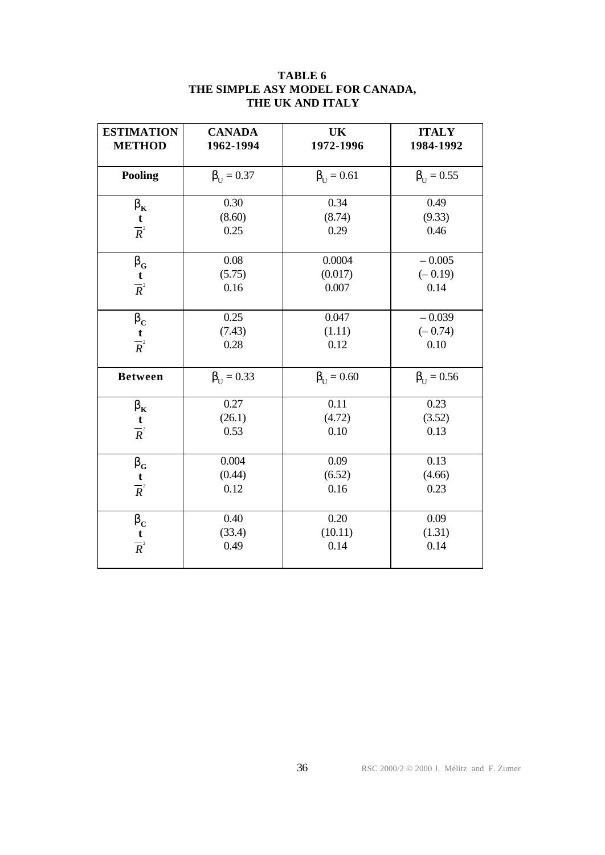| <b>ESTIMATION</b><br><b>METHOD</b>                              | <b>CANADA</b><br>1962-1994 | <b>UK</b><br>1972-1996     | <b>ITALY</b><br>1984-1992     |
|-----------------------------------------------------------------|----------------------------|----------------------------|-------------------------------|
| <b>Pooling</b>                                                  | $\beta_{\text{H}} = 0.37$  | $\beta_{\text{II}} = 0.61$ | $\beta_{\text{U}} = 0.55$     |
| $\mathbf{b}_{\mathrm{K}}$<br>$\frac{t}{R^2}$                    | 0.30<br>(8.60)<br>0.25     | 0.34<br>(8.74)<br>0.29     | 0.49<br>(9.33)<br>0.46        |
| $\mathbf{b}_{\rm G}$<br>$\frac{t}{R^2}$                         | 0.08<br>(5.75)<br>0.16     | 0.0004<br>(0.017)<br>0.007 | $-0.005$<br>$(-0.19)$<br>0.14 |
| $\mathbf{b}_{\mathrm{C}}$<br>$\frac{t}{R^2}$                    | 0.25<br>(7.43)<br>0.28     | 0.047<br>(1.11)<br>0.12    | $-0.039$<br>$(-0.74)$<br>0.10 |
| <b>Between</b>                                                  | $\beta_{\text{U}} = 0.33$  | $\beta_{\text{U}} = 0.60$  | $\beta_{\text{U}} = 0.56$     |
| $\mathbf{b}_{\mathrm{K}}$<br>$\frac{t}{R^2}$                    | 0.27<br>(26.1)<br>0.53     | 0.11<br>(4.72)<br>0.10     | 0.23<br>(3.52)<br>0.13        |
| $\mathbf{b}_{\scriptscriptstyle \mathrm{G}}$<br>$\frac{t}{R^2}$ | 0.004<br>(0.44)<br>0.12    | 0.09<br>(6.52)<br>0.16     | 0.13<br>(4.66)<br>0.23        |
| $\mathbf{b}_{\mathrm{C}}$<br>$\frac{t}{R^2}$                    | 0.40<br>(33.4)<br>0.49     | 0.20<br>(10.11)<br>0.14    | 0.09<br>(1.31)<br>0.14        |

## **TABLE 6 THE SIMPLE ASY MODEL FOR CANADA, THE UK AND ITALY**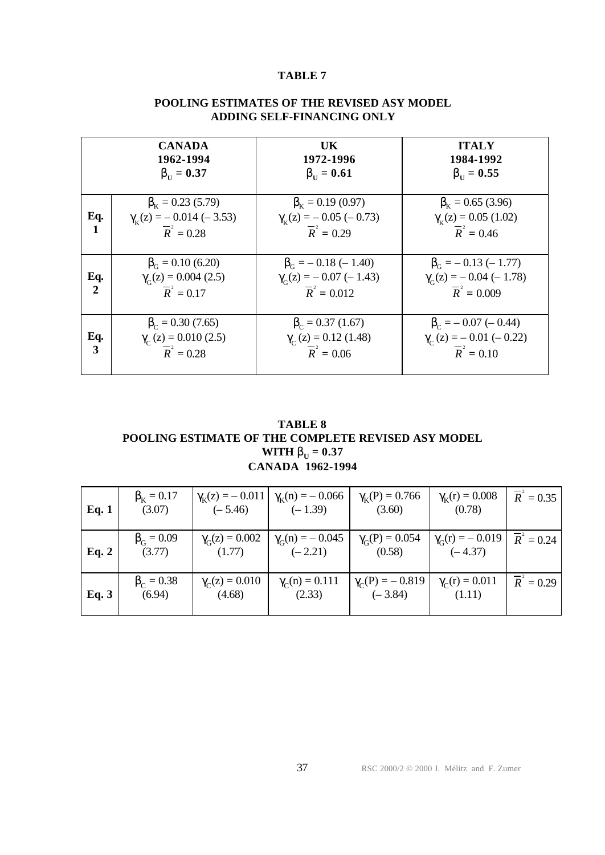## **TABLE 7**

|                       | <b>CANADA</b><br>1962-1994<br>$bII = 0.37$                                                 | UK.<br>1972-1996<br>$bII = 0.61$                                                          | <b>ITALY</b><br>1984-1992<br>$bII = 0.55$                                                    |
|-----------------------|--------------------------------------------------------------------------------------------|-------------------------------------------------------------------------------------------|----------------------------------------------------------------------------------------------|
| Eq.<br>1              | $\beta_{\rm k} = 0.23$ (5.79)<br>$\gamma_K(z) = -0.014 (-3.53)$<br>$\overline{R}^2 = 0.28$ | $\beta_{\rm k} = 0.19$ (0.97)<br>$\gamma_K(z) = -0.05 (-0.73)$<br>$\overline{R}^2 = 0.29$ | $\beta_{\rm k} = 0.65$ (3.96)<br>$\gamma_K(z) = 0.05$ (1.02)<br>$\bar{R}^2 = 0.46$           |
| Eq.<br>$\overline{2}$ | $\beta_c = 0.10$ (6.20)<br>$\gamma_{\rm c}(z) = 0.004$ (2.5)<br>$\bar{R}^2 = 0.17$         | $\beta_{\rm G} = -0.18 (-1.40)$<br>$\gamma_G(z) = -0.07 (-1.43)$<br>$\bar{R}^2 = 0.012$   | $\beta_{\rm G} = -0.13 (-1.77)$<br>$\gamma_G(z) = -0.04 (-1.78)$<br>$\overline{R}^2 = 0.009$ |
| Eq.<br>3              | $\beta_c = 0.30$ (7.65)<br>$\gamma_c$ (z) = 0.010 (2.5)<br>$\overline{R}^2 = 0.28$         | $\beta_c = 0.37$ (1.67)<br>$\gamma_c$ (z) = 0.12 (1.48)<br>$\bar{R}^2 = 0.06$             | $\beta_c = -0.07 (-0.44)$<br>$\gamma_c(z) = -0.01 (-0.22)$<br>$\overline{R}^2 = 0.10$        |

#### **POOLING ESTIMATES OF THE REVISED ASY MODEL ADDING SELF-FINANCING ONLY**

**TABLE 8 POOLING ESTIMATE OF THE COMPLETE REVISED ASY MODEL WITH**  $\mathbf{b}_{\text{U}} = 0.37$ **CANADA 1962-1994**

| Eq. 1 | $\beta_{\rm k} = 0.17$<br>(3.07) | $\gamma_{\rm K}(z) = -0.011$<br>$(-5.46)$ | $\gamma_{\rm K}(n) = -0.066$<br>$(-1.39)$ | $\gamma_{K}(P) = 0.766$<br>(3.60)   | $\gamma_{\rm K}(r) = 0.008$<br>(0.78) | $\bar{R}^2 = 0.35$      |
|-------|----------------------------------|-------------------------------------------|-------------------------------------------|-------------------------------------|---------------------------------------|-------------------------|
| Eq. 2 | $\beta_{\rm G} = 0.09$<br>(3.77) | $\gamma_G(z) = 0.002$<br>(1.77)           | $\gamma_G(n) = -0.045$<br>$(-2.21)$       | $\gamma_G(P) = 0.054$<br>(0.58)     | $\gamma_G(r) = -0.019$<br>$(-4.37)$   | $\overline{R}^2 = 0.24$ |
| Eq. 3 | $\beta_C = 0.38$<br>(6.94)       | $\gamma_C(z) = 0.010$<br>(4.68)           | $\gamma_C(n) = 0.111$<br>(2.33)           | $\gamma_C(P) = -0.819$<br>$(-3.84)$ | $\gamma_C(r) = 0.011$<br>(1.11)       | $\overline{R}^2 = 0.29$ |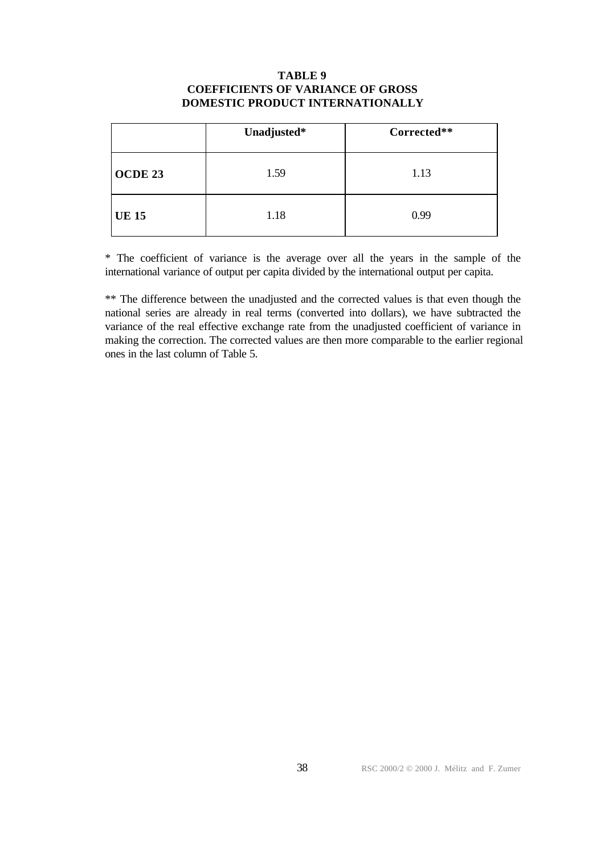#### **TABLE 9 COEFFICIENTS OF VARIANCE OF GROSS DOMESTIC PRODUCT INTERNATIONALLY**

|              | Unadjusted* | Corrected** |
|--------------|-------------|-------------|
| OCDE 23      | 1.59        | 1.13        |
| <b>UE 15</b> | 1.18        | 0.99        |

\* The coefficient of variance is the average over all the years in the sample of the international variance of output per capita divided by the international output per capita.

\*\* The difference between the unadjusted and the corrected values is that even though the national series are already in real terms (converted into dollars), we have subtracted the variance of the real effective exchange rate from the unadjusted coefficient of variance in making the correction. The corrected values are then more comparable to the earlier regional ones in the last column of Table 5.